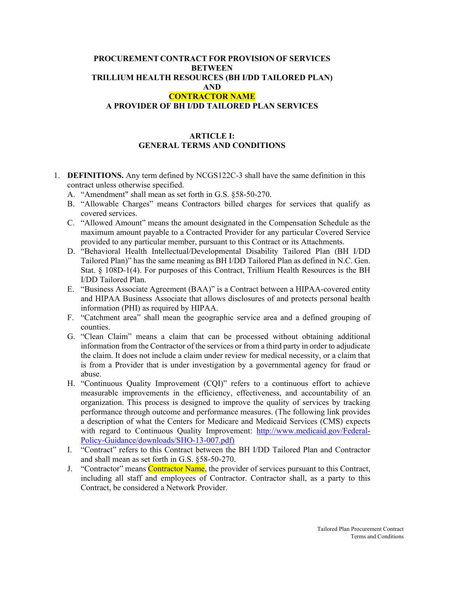#### **PROCUREMENT CONTRACT FOR PROVISION OF SERVICES BETWEEN TRILLIUM HEALTH RESOURCES (BH I/DD TAILORED PLAN) AND CONTRACTOR NAME**

### **A PROVIDER OF BH I/DD TAILORED PLAN SERVICES**

#### **ARTICLE I: GENERAL TERMS AND CONDITIONS**

1. **DEFINITIONS.** Any term defined by NCGS122C-3 shall have the same definition in this contract unless otherwise specified.

A. "Amendment" shall mean as set forth in G.S. §58-50-270.

- B. "Allowable Charges" means Contractors billed charges for services that qualify as covered services.
- C. "Allowed Amount" means the amount designated in the Compensation Schedule as the maximum amount payable to a Contracted Provider for any particular Covered Service provided to any particular member, pursuant to this Contract or its Attachments.
- D. "Behavioral Health Intellectual/Developmental Disability Tailored Plan (BH I/DD Tailored Plan)" has the same meaning as BH I/DD Tailored Plan as defined in N.C. Gen. Stat. § 108D-1(4). For purposes of this Contract, Trillium Health Resources is the BH I/DD Tailored Plan.
- E. "Business Associate Agreement (BAA)" is a Contract between a HIPAA-covered entity and HIPAA Business Associate that allows disclosures of and protects personal health information (PHI) as required by HIPAA.
- F. "Catchment area" shall mean the geographic service area and a defined grouping of counties.
- G. "Clean Claim" means a claim that can be processed without obtaining additional information from the Contractor of the services or from a third party in order to adjudicate the claim. It does not include a claim under review for medical necessity, or a claim that is from a Provider that is under investigation by a governmental agency for fraud or abuse.
- H. "Continuous Quality Improvement (CQI)" refers to a continuous effort to achieve measurable improvements in the efficiency, effectiveness, and accountability of an organization. This process is designed to improve the quality of services by tracking performance through outcome and performance measures. (The following link provides a description of what the Centers for Medicare and Medicaid Services (CMS) expects with regard to Continuous Quality Improvement: [http://www.medicaid.gov/Federal-](http://www.medicaid.gov/Federal-Policy-Guidance/downloads/SHO-13-007.pdf)[Policy-Guidance/downloads/SHO-13-007.pdf\)](http://www.medicaid.gov/Federal-Policy-Guidance/downloads/SHO-13-007.pdf)
- I. "Contract" refers to this Contract between the BH I/DD Tailored Plan and Contractor and shall mean as set forth in G.S. §58-50-270.
- J. "Contractor" means Contractor Name, the provider of services pursuant to this Contract, including all staff and employees of Contractor. Contractor shall, as a party to this Contract, be considered a Network Provider.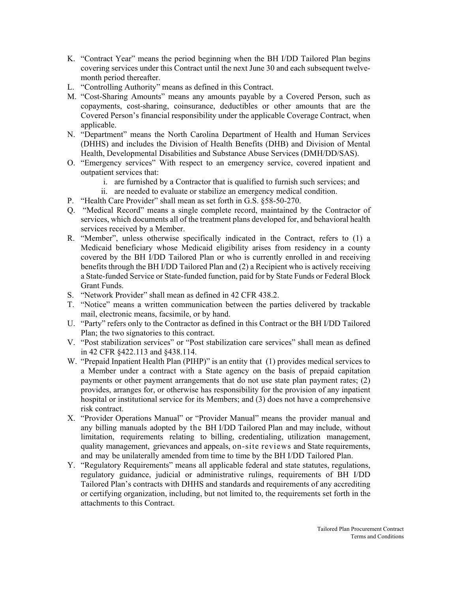- K. "Contract Year" means the period beginning when the BH I/DD Tailored Plan begins covering services under this Contract until the next June 30 and each subsequent twelvemonth period thereafter.
- L. "Controlling Authority" means as defined in this Contract.
- M. "Cost-Sharing Amounts" means any amounts payable by a Covered Person, such as copayments, cost-sharing, coinsurance, deductibles or other amounts that are the Covered Person's financial responsibility under the applicable Coverage Contract, when applicable.
- N. "Department" means the North Carolina Department of Health and Human Services (DHHS) and includes the Division of Health Benefits (DHB) and Division of Mental Health, Developmental Disabilities and Substance Abuse Services (DMH/DD/SAS).
- O. "Emergency services" With respect to an emergency service, covered inpatient and outpatient services that:
	- i. are furnished by a Contractor that is qualified to furnish such services; and
	- ii. are needed to evaluate or stabilize an emergency medical condition.
- P. "Health Care Provider" shall mean as set forth in G.S. §58-50-270.
- Q. "Medical Record" means a single complete record, maintained by the Contractor of services, which documents all of the treatment plans developed for, and behavioral health services received by a Member.
- R. "Member", unless otherwise specifically indicated in the Contract, refers to (1) a Medicaid beneficiary whose Medicaid eligibility arises from residency in a county covered by the BH I/DD Tailored Plan or who is currently enrolled in and receiving benefits through the BH I/DD Tailored Plan and (2) a Recipient who is actively receiving a State-funded Service or State-funded function, paid for by State Funds or Federal Block Grant Funds.
- S. "Network Provider" shall mean as defined in 42 CFR 438.2.
- T. "Notice" means a written communication between the parties delivered by trackable mail, electronic means, facsimile, or by hand.
- U. "Party" refers only to the Contractor as defined in this Contract or the BH I/DD Tailored Plan; the two signatories to this contract.
- V. "Post stabilization services" or "Post stabilization care services" shall mean as defined in 42 CFR §422.113 and §438.114.
- W. "Prepaid Inpatient Health Plan (PIHP)" is an entity that (1) provides medical services to a Member under a contract with a State agency on the basis of prepaid capitation payments or other payment arrangements that do not use state plan payment rates; (2) provides, arranges for, or otherwise has responsibility for the provision of any inpatient hospital or institutional service for its Members; and (3) does not have a comprehensive risk contract.
- X. "Provider Operations Manual" or "Provider Manual" means the provider manual and any billing manuals adopted by the BH I/DD Tailored Plan and may include, without limitation, requirements relating to billing, credentialing, utilization management, quality management, grievances and appeals, on-site reviews and State requirements, and may be unilaterally amended from time to time by the BH I/DD Tailored Plan.
- Y. "Regulatory Requirements" means all applicable federal and state statutes, regulations, regulatory guidance, judicial or administrative rulings, requirements of BH I/DD Tailored Plan's contracts with DHHS and standards and requirements of any accrediting or certifying organization, including, but not limited to, the requirements set forth in the attachments to this Contract.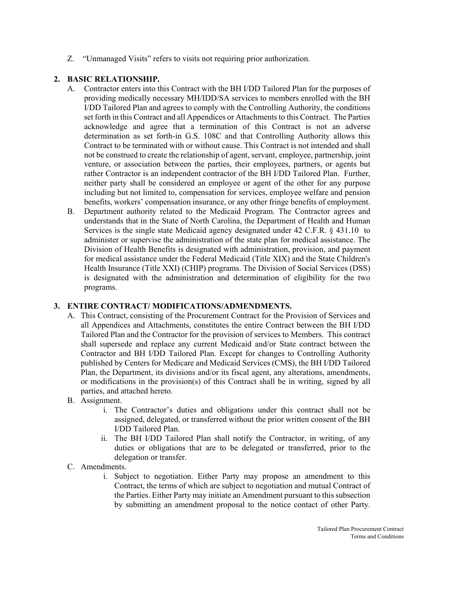Z. "Unmanaged Visits" refers to visits not requiring prior authorization.

## **2. BASIC RELATIONSHIP.**

- A. Contractor enters into this Contract with the BH I/DD Tailored Plan for the purposes of providing medically necessary MH/IDD/SA services to members enrolled with the BH I/DD Tailored Plan and agrees to comply with the Controlling Authority, the conditions set forth in this Contract and all Appendices or Attachments to this Contract. The Parties acknowledge and agree that a termination of this Contract is not an adverse determination as set forth-in G.S. 108C and that Controlling Authority allows this Contract to be terminated with or without cause. This Contract is not intended and shall not be construed to create the relationship of agent, servant, employee, partnership, joint venture, or association between the parties, their employees, partners, or agents but rather Contractor is an independent contractor of the BH I/DD Tailored Plan. Further, neither party shall be considered an employee or agent of the other for any purpose including but not limited to, compensation for services, employee welfare and pension benefits, workers' compensation insurance, or any other fringe benefits of employment.
- B. Department authority related to the Medicaid Program. The Contractor agrees and understands that in the State of North Carolina, the Department of Health and Human Services is the single state Medicaid agency designated under 42 C.F.R. § 431.10 to administer or supervise the administration of the state plan for medical assistance. The Division of Health Benefits is designated with administration, provision, and payment for medical assistance under the Federal Medicaid (Title XIX) and the State Children's Health Insurance (Title XXI) (CHIP) programs. The Division of Social Services (DSS) is designated with the administration and determination of eligibility for the two programs.

### **3. ENTIRE CONTRACT/ MODIFICATIONS/ADMENDMENTS.**

- A. This Contract, consisting of the Procurement Contract for the Provision of Services and all Appendices and Attachments, constitutes the entire Contract between the BH I/DD Tailored Plan and the Contractor for the provision of services to Members. This contract shall supersede and replace any current Medicaid and/or State contract between the Contractor and BH I/DD Tailored Plan. Except for changes to Controlling Authority published by Centers for Medicare and Medicaid Services (CMS), the BH I/DD Tailored Plan, the Department, its divisions and/or its fiscal agent, any alterations, amendments, or modifications in the provision(s) of this Contract shall be in writing, signed by all parties, and attached hereto.
- B. Assignment.
	- i. The Contractor's duties and obligations under this contract shall not be assigned, delegated, or transferred without the prior written consent of the BH I/DD Tailored Plan.
	- ii. The BH I/DD Tailored Plan shall notify the Contractor, in writing, of any duties or obligations that are to be delegated or transferred, prior to the delegation or transfer.
- C. Amendments.
	- i. Subject to negotiation. Either Party may propose an amendment to this Contract, the terms of which are subject to negotiation and mutual Contract of the Parties. Either Party may initiate an Amendment pursuant to this subsection by submitting an amendment proposal to the notice contact of other Party.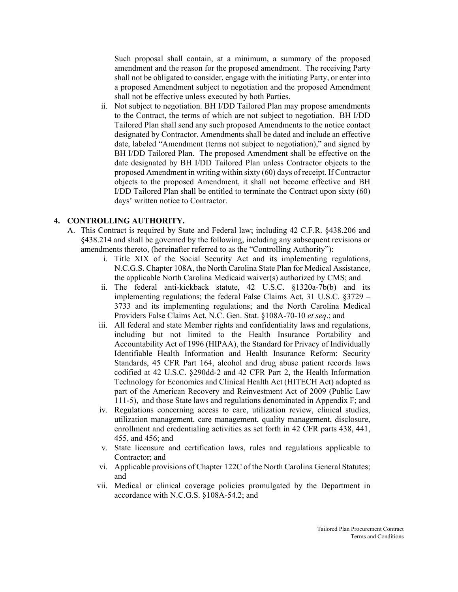Such proposal shall contain, at a minimum, a summary of the proposed amendment and the reason for the proposed amendment. The receiving Party shall not be obligated to consider, engage with the initiating Party, or enter into a proposed Amendment subject to negotiation and the proposed Amendment shall not be effective unless executed by both Parties.

ii. Not subject to negotiation. BH I/DD Tailored Plan may propose amendments to the Contract, the terms of which are not subject to negotiation. BH I/DD Tailored Plan shall send any such proposed Amendments to the notice contact designated by Contractor. Amendments shall be dated and include an effective date, labeled "Amendment (terms not subject to negotiation)," and signed by BH I/DD Tailored Plan. The proposed Amendment shall be effective on the date designated by BH I/DD Tailored Plan unless Contractor objects to the proposed Amendment in writing within sixty (60) days of receipt. If Contractor objects to the proposed Amendment, it shall not become effective and BH I/DD Tailored Plan shall be entitled to terminate the Contract upon sixty (60) days' written notice to Contractor.

#### **4. CONTROLLING AUTHORITY.**

- A. This Contract is required by State and Federal law; including 42 C.F.R. §438.206 and §438.214 and shall be governed by the following, including any subsequent revisions or amendments thereto, (hereinafter referred to as the "Controlling Authority"):
	- i. Title XIX of the Social Security Act and its implementing regulations, N.C.G.S. Chapter 108A, the North Carolina State Plan for Medical Assistance, the applicable North Carolina Medicaid waiver(s) authorized by CMS; and
	- ii. The federal anti-kickback statute, 42 U.S.C. §1320a-7b(b) and its implementing regulations; the federal False Claims Act, 31 U.S.C. §3729 – 3733 and its implementing regulations; and the North Carolina Medical Providers False Claims Act, N.C. Gen. Stat. §108A-70-10 *et seq*.; and
	- iii. All federal and state Member rights and confidentiality laws and regulations, including but not limited to the Health Insurance Portability and Accountability Act of 1996 (HIPAA), the Standard for Privacy of Individually Identifiable Health Information and Health Insurance Reform: Security Standards, 45 CFR Part 164, alcohol and drug abuse patient records laws codified at 42 U.S.C. §290dd-2 and 42 CFR Part 2, the Health Information Technology for Economics and Clinical Health Act (HITECH Act) adopted as part of the American Recovery and Reinvestment Act of 2009 (Public Law 111-5), and those State laws and regulations denominated in Appendix F; and
	- iv. Regulations concerning access to care, utilization review, clinical studies, utilization management, care management, quality management, disclosure, enrollment and credentialing activities as set forth in 42 CFR parts 438, 441, 455, and 456; and
	- v. State licensure and certification laws, rules and regulations applicable to Contractor; and
	- vi. Applicable provisions of Chapter 122C of the North Carolina General Statutes; and
	- vii. Medical or clinical coverage policies promulgated by the Department in accordance with N.C.G.S. §108A-54.2; and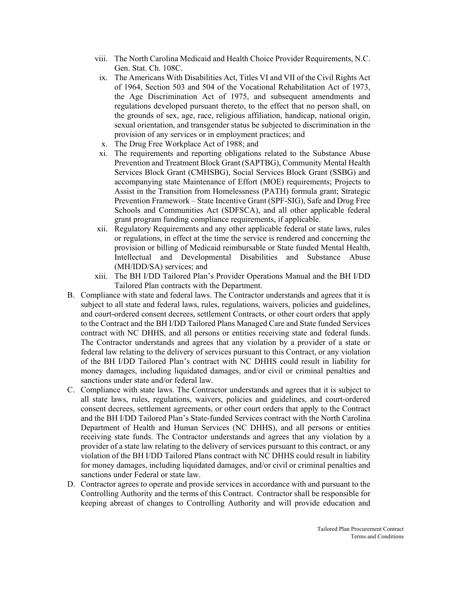- viii. The North Carolina Medicaid and Health Choice Provider Requirements, N.C. Gen. Stat. Ch. 108C.
- ix. The Americans With Disabilities Act, Titles VI and VII of the Civil Rights Act of 1964, Section 503 and 504 of the Vocational Rehabilitation Act of 1973, the Age Discrimination Act of 1975, and subsequent amendments and regulations developed pursuant thereto, to the effect that no person shall, on the grounds of sex, age, race, religious affiliation, handicap, national origin, sexual orientation, and transgender status be subjected to discrimination in the provision of any services or in employment practices; and
- x. The Drug Free Workplace Act of 1988; and
- xi. The requirements and reporting obligations related to the Substance Abuse Prevention and Treatment Block Grant (SAPTBG), Community Mental Health Services Block Grant (CMHSBG), Social Services Block Grant (SSBG) and accompanying state Maintenance of Effort (MOE) requirements; Projects to Assist in the Transition from Homelessness (PATH) formula grant; Strategic Prevention Framework – State Incentive Grant (SPF-SIG), Safe and Drug Free Schools and Communities Act (SDFSCA), and all other applicable federal grant program funding compliance requirements, if applicable.
- xii. Regulatory Requirements and any other applicable federal or state laws, rules or regulations, in effect at the time the service is rendered and concerning the provision or billing of Medicaid reimbursable or State funded Mental Health, Intellectual and Developmental Disabilities and Substance Abuse (MH/IDD/SA) services; and
- xiii. The BH I/DD Tailored Plan's Provider Operations Manual and the BH I/DD Tailored Plan contracts with the Department.
- B. Compliance with state and federal laws. The Contractor understands and agrees that it is subject to all state and federal laws, rules, regulations, waivers, policies and guidelines, and court-ordered consent decrees, settlement Contracts, or other court orders that apply to the Contract and the BH I/DD Tailored Plans Managed Care and State funded Services contract with NC DHHS, and all persons or entities receiving state and federal funds. The Contractor understands and agrees that any violation by a provider of a state or federal law relating to the delivery of services pursuant to this Contract, or any violation of the BH I/DD Tailored Plan's contract with NC DHHS could result in liability for money damages, including liquidated damages, and/or civil or criminal penalties and sanctions under state and/or federal law.
- C. Compliance with state laws. The Contractor understands and agrees that it is subject to all state laws, rules, regulations, waivers, policies and guidelines, and court-ordered consent decrees, settlement agreements, or other court orders that apply to the Contract and the BH I/DD Tailored Plan's State-funded Services contract with the North Carolina Department of Health and Human Services (NC DHHS), and all persons or entities receiving state funds. The Contractor understands and agrees that any violation by a provider of a state law relating to the delivery of services pursuant to this contract, or any violation of the BH I/DD Tailored Plans contract with NC DHHS could result in liability for money damages, including liquidated damages, and/or civil or criminal penalties and sanctions under Federal or state law.
- D. Contractor agrees to operate and provide services in accordance with and pursuant to the Controlling Authority and the terms of this Contract. Contractor shall be responsible for keeping abreast of changes to Controlling Authority and will provide education and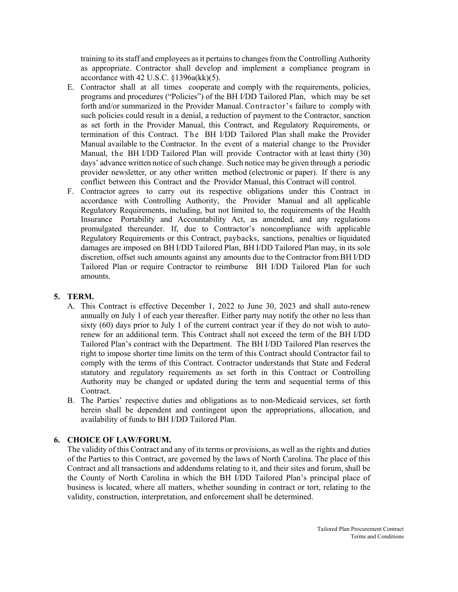training to its staff and employees asit pertains to changes from the Controlling Authority as appropriate. Contractor shall develop and implement a compliance program in accordance with 42 U.S.C. §1396a(kk)(5).

- E. Contractor shall at all times cooperate and comply with the requirements, policies, programs and procedures ("Policies") of the BH I/DD Tailored Plan, which may be set forth and/or summarized in the Provider Manual. Contractor's failure to comply with such policies could result in a denial, a reduction of payment to the Contractor, sanction as set forth in the Provider Manual, this Contract, and Regulatory Requirements, or termination of this Contract. The BH I/DD Tailored Plan shall make the Provider Manual available to the Contractor. In the event of a material change to the Provider Manual, the BH I/DD Tailored Plan will provide Contractor with at least thirty (30) days' advance written notice of such change. Such notice may be given through a periodic provider newsletter, or any other written method (electronic or paper). If there is any conflict between this Contract and the Provider Manual, this Contract will control.
- F. Contractor agrees to carry out its respective obligations under this Contract in accordance with Controlling Authority, the Provider Manual and all applicable Regulatory Requirements, including, but not limited to, the requirements of the Health Insurance Portability and Accountability Act, as amended, and any regulations promulgated thereunder. If, due to Contractor's noncompliance with applicable Regulatory Requirements or this Contract, paybacks, sanctions, penalties or liquidated damages are imposed on BH I/DD Tailored Plan, BH I/DD Tailored Plan may, in its sole discretion, offset such amounts against any amounts due to the Contractor from BH I/DD Tailored Plan or require Contractor to reimburse BH I/DD Tailored Plan for such amounts.

### **5. TERM.**

- A. This Contract is effective December 1, 2022 to June 30, 2023 and shall auto-renew annually on July 1 of each year thereafter. Either party may notify the other no less than sixty (60) days prior to July 1 of the current contract year if they do not wish to autorenew for an additional term. This Contract shall not exceed the term of the BH I/DD Tailored Plan's contract with the Department. The BH I/DD Tailored Plan reserves the right to impose shorter time limits on the term of this Contract should Contractor fail to comply with the terms of this Contract. Contractor understands that State and Federal statutory and regulatory requirements as set forth in this Contract or Controlling Authority may be changed or updated during the term and sequential terms of this Contract.
- B. The Parties' respective duties and obligations as to non-Medicaid services, set forth herein shall be dependent and contingent upon the appropriations, allocation, and availability of funds to BH I/DD Tailored Plan.

# **6. CHOICE OF LAW/FORUM.**

The validity of this Contract and any of its terms or provisions, as well as the rights and duties of the Parties to this Contract, are governed by the laws of North Carolina. The place of this Contract and all transactions and addendums relating to it, and their sites and forum, shall be the County of North Carolina in which the BH I/DD Tailored Plan's principal place of business is located, where all matters, whether sounding in contract or tort, relating to the validity, construction, interpretation, and enforcement shall be determined.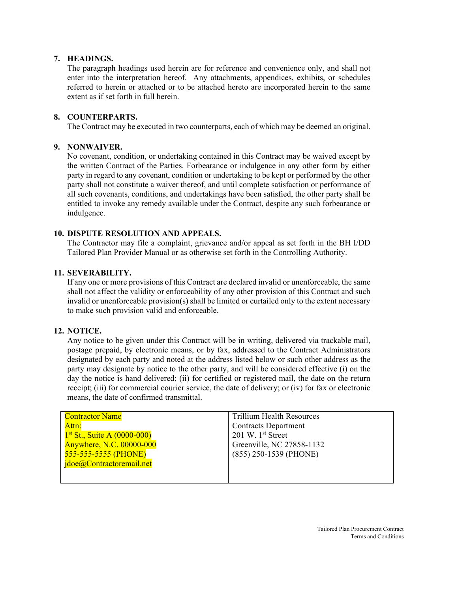### **7. HEADINGS.**

The paragraph headings used herein are for reference and convenience only, and shall not enter into the interpretation hereof. Any attachments, appendices, exhibits, or schedules referred to herein or attached or to be attached hereto are incorporated herein to the same extent as if set forth in full herein.

#### **8. COUNTERPARTS.**

The Contract may be executed in two counterparts, each of which may be deemed an original.

## **9. NONWAIVER.**

No covenant, condition, or undertaking contained in this Contract may be waived except by the written Contract of the Parties. Forbearance or indulgence in any other form by either party in regard to any covenant, condition or undertaking to be kept or performed by the other party shall not constitute a waiver thereof, and until complete satisfaction or performance of all such covenants, conditions, and undertakings have been satisfied, the other party shall be entitled to invoke any remedy available under the Contract, despite any such forbearance or indulgence.

### **10. DISPUTE RESOLUTION AND APPEALS.**

The Contractor may file a complaint, grievance and/or appeal as set forth in the BH I/DD Tailored Plan Provider Manual or as otherwise set forth in the Controlling Authority.

#### **11. SEVERABILITY.**

If any one or more provisions of this Contract are declared invalid or unenforceable, the same shall not affect the validity or enforceability of any other provision of this Contract and such invalid or unenforceable provision(s) shall be limited or curtailed only to the extent necessary to make such provision valid and enforceable.

#### **12. NOTICE.**

Any notice to be given under this Contract will be in writing, delivered via trackable mail, postage prepaid, by electronic means, or by fax, addressed to the Contract Administrators designated by each party and noted at the address listed below or such other address as the party may designate by notice to the other party, and will be considered effective (i) on the day the notice is hand delivered; (ii) for certified or registered mail, the date on the return receipt; (iii) for commercial courier service, the date of delivery; or (iv) for fax or electronic means, the date of confirmed transmittal.

| <b>Contractor Name</b>        | <b>Trillium Health Resources</b> |
|-------------------------------|----------------------------------|
| Attn:                         | <b>Contracts Department</b>      |
| $1st$ St., Suite A (0000-000) | 201 W. $1st$ Street              |
| Anywhere, N.C. 00000-000      | Greenville, NC 27858-1132        |
| 555-555-5555 (PHONE)          | $(855)$ 250-1539 (PHONE)         |
| jdoe@Contractoremail.net      |                                  |
|                               |                                  |
|                               |                                  |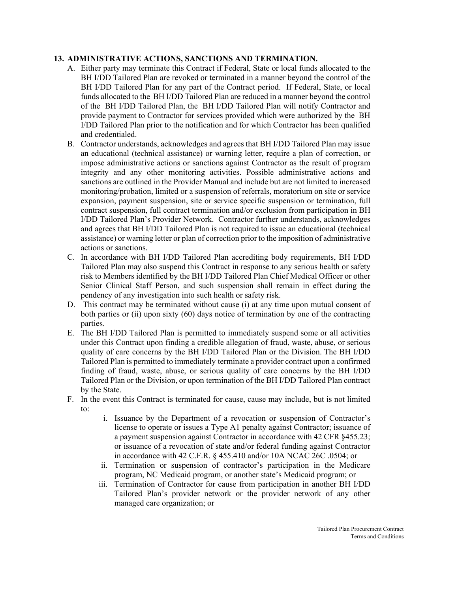## **13. ADMINISTRATIVE ACTIONS, SANCTIONS AND TERMINATION.**

- A. Either party may terminate this Contract if Federal, State or local funds allocated to the BH I/DD Tailored Plan are revoked or terminated in a manner beyond the control of the BH I/DD Tailored Plan for any part of the Contract period. If Federal, State, or local funds allocated to the BH I/DD Tailored Plan are reduced in a manner beyond the control of the BH I/DD Tailored Plan, the BH I/DD Tailored Plan will notify Contractor and provide payment to Contractor for services provided which were authorized by the BH I/DD Tailored Plan prior to the notification and for which Contractor has been qualified and credentialed.
- B. Contractor understands, acknowledges and agrees that BH I/DD Tailored Plan may issue an educational (technical assistance) or warning letter, require a plan of correction, or impose administrative actions or sanctions against Contractor as the result of program integrity and any other monitoring activities. Possible administrative actions and sanctions are outlined in the Provider Manual and include but are not limited to increased monitoring/probation, limited or a suspension of referrals, moratorium on site or service expansion, payment suspension, site or service specific suspension or termination, full contract suspension, full contract termination and/or exclusion from participation in BH I/DD Tailored Plan's Provider Network. Contractor further understands, acknowledges and agrees that BH I/DD Tailored Plan is not required to issue an educational (technical assistance) or warning letter or plan of correction prior to the imposition of administrative actions or sanctions.
- C. In accordance with BH I/DD Tailored Plan accrediting body requirements, BH I/DD Tailored Plan may also suspend this Contract in response to any serious health or safety risk to Members identified by the BH I/DD Tailored Plan Chief Medical Officer or other Senior Clinical Staff Person, and such suspension shall remain in effect during the pendency of any investigation into such health or safety risk.
- D. This contract may be terminated without cause (i) at any time upon mutual consent of both parties or (ii) upon sixty (60) days notice of termination by one of the contracting parties.
- E. The BH I/DD Tailored Plan is permitted to immediately suspend some or all activities under this Contract upon finding a credible allegation of fraud, waste, abuse, or serious quality of care concerns by the BH I/DD Tailored Plan or the Division. The BH I/DD Tailored Plan is permitted to immediately terminate a provider contract upon a confirmed finding of fraud, waste, abuse, or serious quality of care concerns by the BH I/DD Tailored Plan or the Division, or upon termination of the BH I/DD Tailored Plan contract by the State.
- F. In the event this Contract is terminated for cause, cause may include, but is not limited to:
	- i. Issuance by the Department of a revocation or suspension of Contractor's license to operate or issues a Type A1 penalty against Contractor; issuance of a payment suspension against Contractor in accordance with 42 CFR §455.23; or issuance of a revocation of state and/or federal funding against Contractor in accordance with 42 C.F.R. § 455.410 and/or 10A NCAC 26C .0504; or
	- ii. Termination or suspension of contractor's participation in the Medicare program, NC Medicaid program, or another state's Medicaid program; or
	- iii. Termination of Contractor for cause from participation in another BH I/DD Tailored Plan's provider network or the provider network of any other managed care organization; or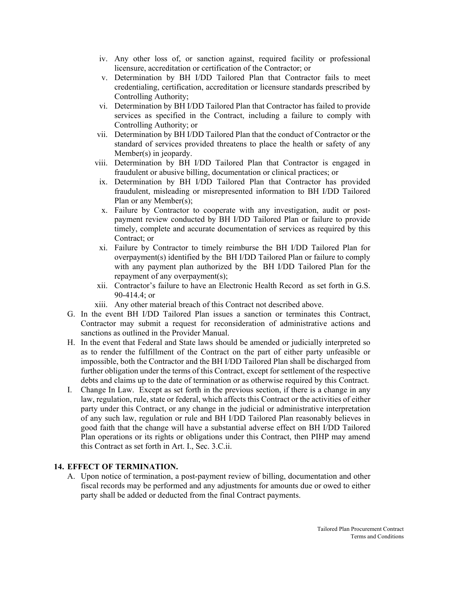- iv. Any other loss of, or sanction against, required facility or professional licensure, accreditation or certification of the Contractor; or
- v. Determination by BH I/DD Tailored Plan that Contractor fails to meet credentialing, certification, accreditation or licensure standards prescribed by Controlling Authority;
- vi. Determination by BH I/DD Tailored Plan that Contractor has failed to provide services as specified in the Contract, including a failure to comply with Controlling Authority; or
- vii. Determination by BH I/DD Tailored Plan that the conduct of Contractor or the standard of services provided threatens to place the health or safety of any Member(s) in jeopardy.
- viii. Determination by BH I/DD Tailored Plan that Contractor is engaged in fraudulent or abusive billing, documentation or clinical practices; or
- ix. Determination by BH I/DD Tailored Plan that Contractor has provided fraudulent, misleading or misrepresented information to BH I/DD Tailored Plan or any Member(s);
- x. Failure by Contractor to cooperate with any investigation, audit or postpayment review conducted by BH I/DD Tailored Plan or failure to provide timely, complete and accurate documentation of services as required by this Contract; or
- xi. Failure by Contractor to timely reimburse the BH I/DD Tailored Plan for overpayment(s) identified by the BH I/DD Tailored Plan or failure to comply with any payment plan authorized by the BH I/DD Tailored Plan for the repayment of any overpayment(s);
- xii. Contractor's failure to have an Electronic Health Record as set forth in G.S. 90-414.4; or
- xiii. Any other material breach of this Contract not described above.
- G. In the event BH I/DD Tailored Plan issues a sanction or terminates this Contract, Contractor may submit a request for reconsideration of administrative actions and sanctions as outlined in the Provider Manual.
- H. In the event that Federal and State laws should be amended or judicially interpreted so as to render the fulfillment of the Contract on the part of either party unfeasible or impossible, both the Contractor and the BH I/DD Tailored Plan shall be discharged from further obligation under the terms of this Contract, except for settlement of the respective debts and claims up to the date of termination or as otherwise required by this Contract.
- I. Change In Law. Except as set forth in the previous section, if there is a change in any law, regulation, rule, state or federal, which affects this Contract or the activities of either party under this Contract, or any change in the judicial or administrative interpretation of any such law, regulation or rule and BH I/DD Tailored Plan reasonably believes in good faith that the change will have a substantial adverse effect on BH I/DD Tailored Plan operations or its rights or obligations under this Contract, then PIHP may amend this Contract as set forth in Art. I., Sec. 3.C.ii.

### **14. EFFECT OF TERMINATION.**

A. Upon notice of termination, a post-payment review of billing, documentation and other fiscal records may be performed and any adjustments for amounts due or owed to either party shall be added or deducted from the final Contract payments.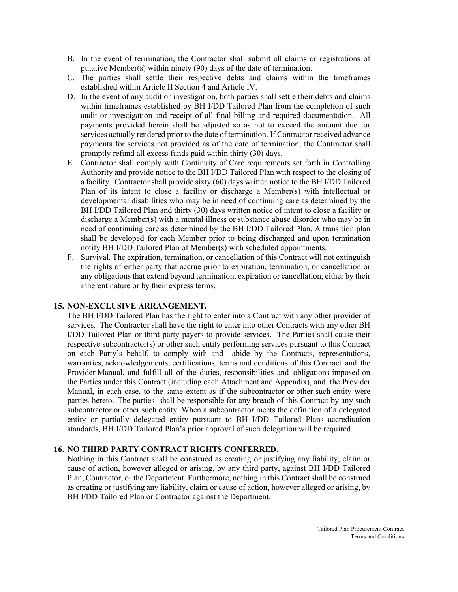- B. In the event of termination, the Contractor shall submit all claims or registrations of putative Member(s) within ninety (90) days of the date of termination.
- C. The parties shall settle their respective debts and claims within the timeframes established within Article II Section 4 and Article IV.
- D. In the event of any audit or investigation, both parties shall settle their debts and claims within timeframes established by BH I/DD Tailored Plan from the completion of such audit or investigation and receipt of all final billing and required documentation. All payments provided herein shall be adjusted so as not to exceed the amount due for services actually rendered prior to the date of termination. If Contractor received advance payments for services not provided as of the date of termination, the Contractor shall promptly refund all excess funds paid within thirty (30) days.
- E. Contractor shall comply with Continuity of Care requirements set forth in Controlling Authority and provide notice to the BH I/DD Tailored Plan with respect to the closing of a facility. Contractor shall provide sixty (60) days written notice to the BH I/DD Tailored Plan of its intent to close a facility or discharge a Member(s) with intellectual or developmental disabilities who may be in need of continuing care as determined by the BH I/DD Tailored Plan and thirty (30) days written notice of intent to close a facility or discharge a Member(s) with a mental illness or substance abuse disorder who may be in need of continuing care as determined by the BH I/DD Tailored Plan. A transition plan shall be developed for each Member prior to being discharged and upon termination notify BH I/DD Tailored Plan of Member(s) with scheduled appointments.
- F. Survival. The expiration, termination, or cancellation of this Contract will not extinguish the rights of either party that accrue prior to expiration, termination, or cancellation or any obligations that extend beyond termination, expiration or cancellation, either by their inherent nature or by their express terms.

### **15. NON-EXCLUSIVE ARRANGEMENT.**

The BH I/DD Tailored Plan has the right to enter into a Contract with any other provider of services. The Contractor shall have the right to enter into other Contracts with any other BH I/DD Tailored Plan or third party payers to provide services. The Parties shall cause their respective subcontractor(s) or other such entity performing services pursuant to this Contract on each Party's behalf, to comply with and abide by the Contracts, representations, warranties, acknowledgements, certifications, terms and conditions of this Contract and the Provider Manual, and fulfill all of the duties, responsibilities and obligations imposed on the Parties under this Contract (including each Attachment and Appendix), and the Provider Manual, in each case, to the same extent as if the subcontractor or other such entity were parties hereto. The parties shall be responsible for any breach of this Contract by any such subcontractor or other such entity. When a subcontractor meets the definition of a delegated entity or partially delegated entity pursuant to BH I/DD Tailored Plans accreditation standards, BH I/DD Tailored Plan's prior approval of such delegation will be required.

#### **16. NO THIRD PARTY CONTRACT RIGHTS CONFERRED.**

Nothing in this Contract shall be construed as creating or justifying any liability, claim or cause of action, however alleged or arising, by any third party, against BH I/DD Tailored Plan, Contractor, or the Department. Furthermore, nothing in this Contract shall be construed as creating or justifying any liability, claim or cause of action, however alleged or arising, by BH I/DD Tailored Plan or Contractor against the Department.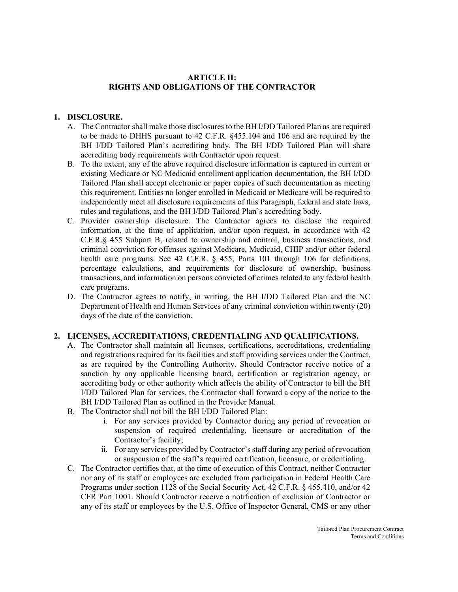### **ARTICLE II: RIGHTS AND OBLIGATIONS OF THE CONTRACTOR**

### **1. DISCLOSURE.**

- A. The Contractor shall make those disclosures to the BH I/DD Tailored Plan as are required to be made to DHHS pursuant to 42 C.F.R. §455.104 and 106 and are required by the BH I/DD Tailored Plan's accrediting body. The BH I/DD Tailored Plan will share accrediting body requirements with Contractor upon request.
- B. To the extent, any of the above required disclosure information is captured in current or existing Medicare or NC Medicaid enrollment application documentation, the BH I/DD Tailored Plan shall accept electronic or paper copies of such documentation as meeting this requirement. Entities no longer enrolled in Medicaid or Medicare will be required to independently meet all disclosure requirements of this Paragraph, federal and state laws, rules and regulations, and the BH I/DD Tailored Plan's accrediting body.
- C. Provider ownership disclosure. The Contractor agrees to disclose the required information, at the time of application, and/or upon request, in accordance with 42 C.F.R.§ 455 Subpart B, related to ownership and control, business transactions, and criminal conviction for offenses against Medicare, Medicaid, CHIP and/or other federal health care programs. See 42 C.F.R. § 455, Parts 101 through 106 for definitions, percentage calculations, and requirements for disclosure of ownership, business transactions, and information on persons convicted of crimes related to any federal health care programs.
- D. The Contractor agrees to notify, in writing, the BH I/DD Tailored Plan and the NC Department of Health and Human Services of any criminal conviction within twenty (20) days of the date of the conviction.

### **2. LICENSES, ACCREDITATIONS, CREDENTIALING AND QUALIFICATIONS.**

- A. The Contractor shall maintain all licenses, certifications, accreditations, credentialing and registrations required for its facilities and staff providing services under the Contract, as are required by the Controlling Authority. Should Contractor receive notice of a sanction by any applicable licensing board, certification or registration agency, or accrediting body or other authority which affects the ability of Contractor to bill the BH I/DD Tailored Plan for services, the Contractor shall forward a copy of the notice to the BH I/DD Tailored Plan as outlined in the Provider Manual.
- B. The Contractor shall not bill the BH I/DD Tailored Plan:
	- i. For any services provided by Contractor during any period of revocation or suspension of required credentialing, licensure or accreditation of the Contractor's facility;
	- ii. For any services provided by Contractor's staff during any period of revocation or suspension of the staff's required certification, licensure, or credentialing.
- C. The Contractor certifies that, at the time of execution of this Contract, neither Contractor nor any of its staff or employees are excluded from participation in Federal Health Care Programs under section 1128 of the Social Security Act, 42 C.F.R. § 455.410, and/or 42 CFR Part 1001. Should Contractor receive a notification of exclusion of Contractor or any of its staff or employees by the U.S. Office of Inspector General, CMS or any other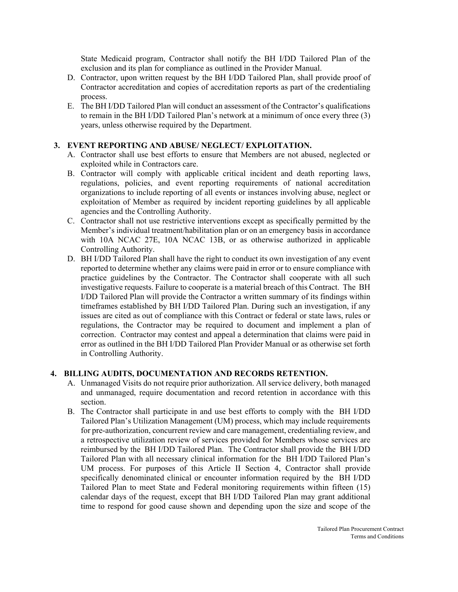State Medicaid program, Contractor shall notify the BH I/DD Tailored Plan of the exclusion and its plan for compliance as outlined in the Provider Manual.

- D. Contractor, upon written request by the BH I/DD Tailored Plan, shall provide proof of Contractor accreditation and copies of accreditation reports as part of the credentialing process.
- E. The BH I/DD Tailored Plan will conduct an assessment of the Contractor's qualifications to remain in the BH I/DD Tailored Plan's network at a minimum of once every three (3) years, unless otherwise required by the Department.

#### **3. EVENT REPORTING AND ABUSE/ NEGLECT/ EXPLOITATION.**

- A. Contractor shall use best efforts to ensure that Members are not abused, neglected or exploited while in Contractors care.
- B. Contractor will comply with applicable critical incident and death reporting laws, regulations, policies, and event reporting requirements of national accreditation organizations to include reporting of all events or instances involving abuse, neglect or exploitation of Member as required by incident reporting guidelines by all applicable agencies and the Controlling Authority.
- C. Contractor shall not use restrictive interventions except as specifically permitted by the Member's individual treatment/habilitation plan or on an emergency basis in accordance with 10A NCAC 27E, 10A NCAC 13B, or as otherwise authorized in applicable Controlling Authority.
- D. BH I/DD Tailored Plan shall have the right to conduct its own investigation of any event reported to determine whether any claims were paid in error or to ensure compliance with practice guidelines by the Contractor. The Contractor shall cooperate with all such investigative requests. Failure to cooperate is a material breach of this Contract. The BH I/DD Tailored Plan will provide the Contractor a written summary of its findings within timeframes established by BH I/DD Tailored Plan. During such an investigation, if any issues are cited as out of compliance with this Contract or federal or state laws, rules or regulations, the Contractor may be required to document and implement a plan of correction. Contractor may contest and appeal a determination that claims were paid in error as outlined in the BH I/DD Tailored Plan Provider Manual or as otherwise set forth in Controlling Authority.

#### **4. BILLING AUDITS, DOCUMENTATION AND RECORDS RETENTION.**

- A. Unmanaged Visits do not require prior authorization. All service delivery, both managed and unmanaged, require documentation and record retention in accordance with this section.
- B. The Contractor shall participate in and use best efforts to comply with the BH I/DD Tailored Plan's Utilization Management (UM) process, which may include requirements for pre-authorization, concurrent review and care management, credentialing review, and a retrospective utilization review of services provided for Members whose services are reimbursed by the BH I/DD Tailored Plan. The Contractor shall provide the BH I/DD Tailored Plan with all necessary clinical information for the BH I/DD Tailored Plan's UM process. For purposes of this Article II Section 4, Contractor shall provide specifically denominated clinical or encounter information required by the BH I/DD Tailored Plan to meet State and Federal monitoring requirements within fifteen (15) calendar days of the request, except that BH I/DD Tailored Plan may grant additional time to respond for good cause shown and depending upon the size and scope of the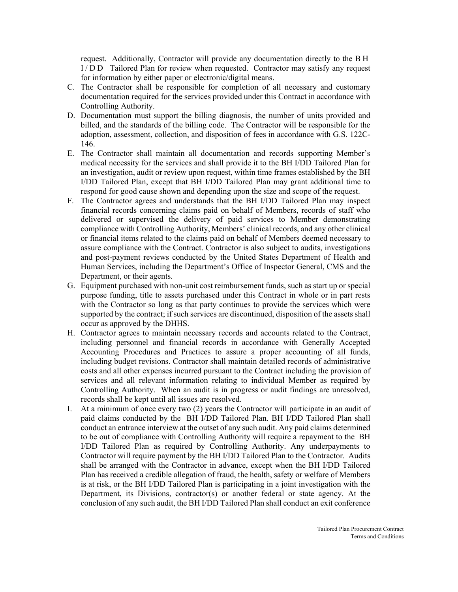request. Additionally, Contractor will provide any documentation directly to the BH I/DD Tailored Plan for review when requested. Contractor may satisfy any request for information by either paper or electronic/digital means.

- C. The Contractor shall be responsible for completion of all necessary and customary documentation required for the services provided under this Contract in accordance with Controlling Authority.
- D. Documentation must support the billing diagnosis, the number of units provided and billed, and the standards of the billing code. The Contractor will be responsible for the adoption, assessment, collection, and disposition of fees in accordance with G.S. 122C-146.
- E. The Contractor shall maintain all documentation and records supporting Member's medical necessity for the services and shall provide it to the BH I/DD Tailored Plan for an investigation, audit or review upon request, within time frames established by the BH I/DD Tailored Plan, except that BH I/DD Tailored Plan may grant additional time to respond for good cause shown and depending upon the size and scope of the request.
- F. The Contractor agrees and understands that the BH I/DD Tailored Plan may inspect financial records concerning claims paid on behalf of Members, records of staff who delivered or supervised the delivery of paid services to Member demonstrating compliance with Controlling Authority, Members' clinical records, and any other clinical or financial items related to the claims paid on behalf of Members deemed necessary to assure compliance with the Contract. Contractor is also subject to audits, investigations and post-payment reviews conducted by the United States Department of Health and Human Services, including the Department's Office of Inspector General, CMS and the Department, or their agents.
- G. Equipment purchased with non-unit cost reimbursement funds, such as start up or special purpose funding, title to assets purchased under this Contract in whole or in part rests with the Contractor so long as that party continues to provide the services which were supported by the contract; if such services are discontinued, disposition of the assets shall occur as approved by the DHHS.
- H. Contractor agrees to maintain necessary records and accounts related to the Contract, including personnel and financial records in accordance with Generally Accepted Accounting Procedures and Practices to assure a proper accounting of all funds, including budget revisions. Contractor shall maintain detailed records of administrative costs and all other expenses incurred pursuant to the Contract including the provision of services and all relevant information relating to individual Member as required by Controlling Authority. When an audit is in progress or audit findings are unresolved, records shall be kept until all issues are resolved.
- I. At a minimum of once every two (2) years the Contractor will participate in an audit of paid claims conducted by the BH I/DD Tailored Plan. BH I/DD Tailored Plan shall conduct an entrance interview at the outset of any such audit. Any paid claims determined to be out of compliance with Controlling Authority will require a repayment to the BH I/DD Tailored Plan as required by Controlling Authority. Any underpayments to Contractor will require payment by the BH I/DD Tailored Plan to the Contractor. Audits shall be arranged with the Contractor in advance, except when the BH I/DD Tailored Plan has received a credible allegation of fraud, the health, safety or welfare of Members is at risk, or the BH I/DD Tailored Plan is participating in a joint investigation with the Department, its Divisions, contractor(s) or another federal or state agency. At the conclusion of any such audit, the BH I/DD Tailored Plan shall conduct an exit conference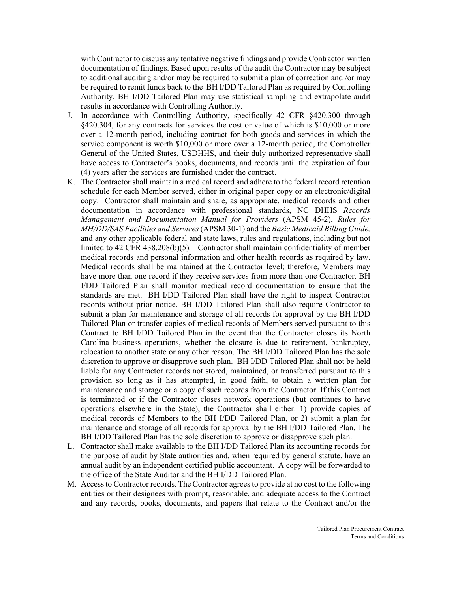with Contractor to discuss any tentative negative findings and provide Contractor written documentation of findings. Based upon results of the audit the Contractor may be subject to additional auditing and/or may be required to submit a plan of correction and /or may be required to remit funds back to the BH I/DD Tailored Plan as required by Controlling Authority. BH I/DD Tailored Plan may use statistical sampling and extrapolate audit results in accordance with Controlling Authority.

- J. In accordance with Controlling Authority, specifically 42 CFR §420.300 through §420.304, for any contracts for services the cost or value of which is \$10,000 or more over a 12-month period, including contract for both goods and services in which the service component is worth \$10,000 or more over a 12-month period, the Comptroller General of the United States, USDHHS, and their duly authorized representative shall have access to Contractor's books, documents, and records until the expiration of four (4) years after the services are furnished under the contract.
- K. The Contractor shall maintain a medical record and adhere to the federal record retention schedule for each Member served, either in original paper copy or an electronic/digital copy. Contractor shall maintain and share, as appropriate, medical records and other documentation in accordance with professional standards, NC DHHS *Records Management and Documentation Manual for Providers* (APSM 45-2), *Rules for MH/DD/SAS Facilities and Services* (APSM 30-1) and the *Basic Medicaid Billing Guide,*  and any other applicable federal and state laws, rules and regulations, including but not limited to 42 CFR 438.208(b)(5)*.* Contractor shall maintain confidentiality of member medical records and personal information and other health records as required by law. Medical records shall be maintained at the Contractor level; therefore, Members may have more than one record if they receive services from more than one Contractor. BH I/DD Tailored Plan shall monitor medical record documentation to ensure that the standards are met. BH I/DD Tailored Plan shall have the right to inspect Contractor records without prior notice. BH I/DD Tailored Plan shall also require Contractor to submit a plan for maintenance and storage of all records for approval by the BH I/DD Tailored Plan or transfer copies of medical records of Members served pursuant to this Contract to BH I/DD Tailored Plan in the event that the Contractor closes its North Carolina business operations, whether the closure is due to retirement, bankruptcy, relocation to another state or any other reason. The BH I/DD Tailored Plan has the sole discretion to approve or disapprove such plan. BH I/DD Tailored Plan shall not be held liable for any Contractor records not stored, maintained, or transferred pursuant to this provision so long as it has attempted, in good faith, to obtain a written plan for maintenance and storage or a copy of such records from the Contractor. If this Contract is terminated or if the Contractor closes network operations (but continues to have operations elsewhere in the State), the Contractor shall either: 1) provide copies of medical records of Members to the BH I/DD Tailored Plan, or 2) submit a plan for maintenance and storage of all records for approval by the BH I/DD Tailored Plan. The BH I/DD Tailored Plan has the sole discretion to approve or disapprove such plan.
- L. Contractor shall make available to the BH I/DD Tailored Plan its accounting records for the purpose of audit by State authorities and, when required by general statute, have an annual audit by an independent certified public accountant. A copy will be forwarded to the office of the State Auditor and the BH I/DD Tailored Plan.
- M. Access to Contractor records. The Contractor agrees to provide at no cost to the following entities or their designees with prompt, reasonable, and adequate access to the Contract and any records, books, documents, and papers that relate to the Contract and/or the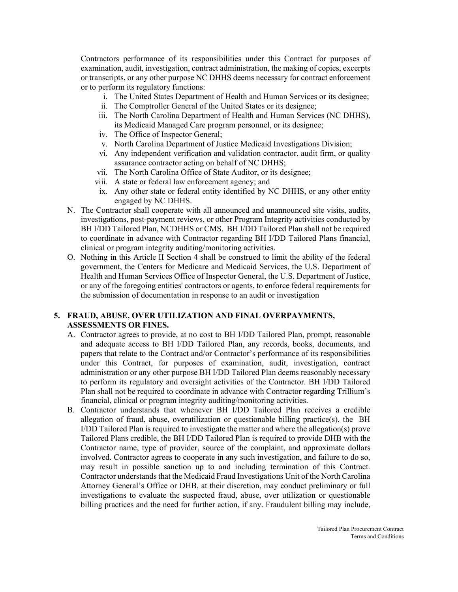Contractors performance of its responsibilities under this Contract for purposes of examination, audit, investigation, contract administration, the making of copies, excerpts or transcripts, or any other purpose NC DHHS deems necessary for contract enforcement or to perform its regulatory functions:

- i. The United States Department of Health and Human Services or its designee;
- ii. The Comptroller General of the United States or its designee;
- iii. The North Carolina Department of Health and Human Services (NC DHHS), its Medicaid Managed Care program personnel, or its designee;
- iv. The Office of Inspector General;
- v. North Carolina Department of Justice Medicaid Investigations Division;
- vi. Any independent verification and validation contractor, audit firm, or quality assurance contractor acting on behalf of NC DHHS;
- vii. The North Carolina Office of State Auditor, or its designee;
- viii. A state or federal law enforcement agency; and
- ix. Any other state or federal entity identified by NC DHHS, or any other entity engaged by NC DHHS.
- N. The Contractor shall cooperate with all announced and unannounced site visits, audits, investigations, post-payment reviews, or other Program Integrity activities conducted by BH I/DD Tailored Plan, NCDHHS or CMS. BH I/DD Tailored Plan shall not be required to coordinate in advance with Contractor regarding BH I/DD Tailored Plans financial, clinical or program integrity auditing/monitoring activities.
- O. Nothing in this Article II Section 4 shall be construed to limit the ability of the federal government, the Centers for Medicare and Medicaid Services, the U.S. Department of Health and Human Services Office of Inspector General, the U.S. Department of Justice, or any of the foregoing entities' contractors or agents, to enforce federal requirements for the submission of documentation in response to an audit or investigation

## **5. FRAUD, ABUSE, OVER UTILIZATION AND FINAL OVERPAYMENTS, ASSESSMENTS OR FINES.**

- A. Contractor agrees to provide, at no cost to BH I/DD Tailored Plan, prompt, reasonable and adequate access to BH I/DD Tailored Plan, any records, books, documents, and papers that relate to the Contract and/or Contractor's performance of its responsibilities under this Contract, for purposes of examination, audit, investigation, contract administration or any other purpose BH I/DD Tailored Plan deems reasonably necessary to perform its regulatory and oversight activities of the Contractor. BH I/DD Tailored Plan shall not be required to coordinate in advance with Contractor regarding Trillium's financial, clinical or program integrity auditing/monitoring activities.
- B. Contractor understands that whenever BH I/DD Tailored Plan receives a credible allegation of fraud, abuse, overutilization or questionable billing practice(s), the BH I/DD Tailored Plan is required to investigate the matter and where the allegation(s) prove Tailored Plans credible, the BH I/DD Tailored Plan is required to provide DHB with the Contractor name, type of provider, source of the complaint, and approximate dollars involved. Contractor agrees to cooperate in any such investigation, and failure to do so, may result in possible sanction up to and including termination of this Contract. Contractor understands that the Medicaid Fraud Investigations Unit of the North Carolina Attorney General's Office or DHB, at their discretion, may conduct preliminary or full investigations to evaluate the suspected fraud, abuse, over utilization or questionable billing practices and the need for further action, if any. Fraudulent billing may include,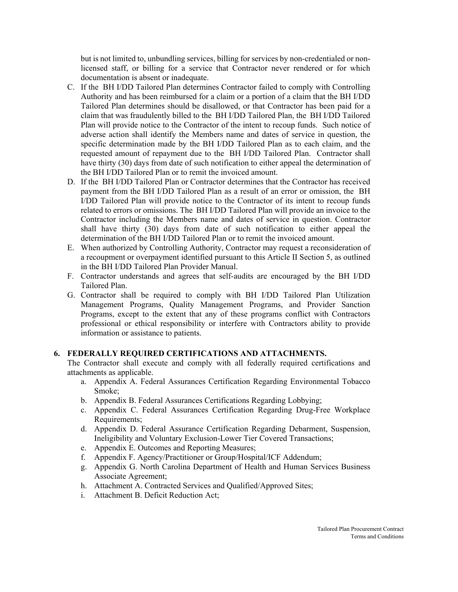but is not limited to, unbundling services, billing for services by non-credentialed or nonlicensed staff, or billing for a service that Contractor never rendered or for which documentation is absent or inadequate.

- C. If the BH I/DD Tailored Plan determines Contractor failed to comply with Controlling Authority and has been reimbursed for a claim or a portion of a claim that the BH I/DD Tailored Plan determines should be disallowed, or that Contractor has been paid for a claim that was fraudulently billed to the BH I/DD Tailored Plan, the BH I/DD Tailored Plan will provide notice to the Contractor of the intent to recoup funds. Such notice of adverse action shall identify the Members name and dates of service in question, the specific determination made by the BH I/DD Tailored Plan as to each claim, and the requested amount of repayment due to the BH I/DD Tailored Plan. Contractor shall have thirty (30) days from date of such notification to either appeal the determination of the BH I/DD Tailored Plan or to remit the invoiced amount.
- D. If the BH I/DD Tailored Plan or Contractor determines that the Contractor has received payment from the BH I/DD Tailored Plan as a result of an error or omission, the BH I/DD Tailored Plan will provide notice to the Contractor of its intent to recoup funds related to errors or omissions. The BH I/DD Tailored Plan will provide an invoice to the Contractor including the Members name and dates of service in question. Contractor shall have thirty (30) days from date of such notification to either appeal the determination of the BH I/DD Tailored Plan or to remit the invoiced amount.
- E. When authorized by Controlling Authority, Contractor may request a reconsideration of a recoupment or overpayment identified pursuant to this Article II Section 5, as outlined in the BH I/DD Tailored Plan Provider Manual.
- F. Contractor understands and agrees that self-audits are encouraged by the BH I/DD Tailored Plan.
- G. Contractor shall be required to comply with BH I/DD Tailored Plan Utilization Management Programs, Quality Management Programs, and Provider Sanction Programs, except to the extent that any of these programs conflict with Contractors professional or ethical responsibility or interfere with Contractors ability to provide information or assistance to patients.

### **6. FEDERALLY REQUIRED CERTIFICATIONS AND ATTACHMENTS.**

The Contractor shall execute and comply with all federally required certifications and attachments as applicable.

- a. Appendix A. Federal Assurances Certification Regarding Environmental Tobacco Smoke;
- b. Appendix B. Federal Assurances Certifications Regarding Lobbying;
- c. Appendix C. Federal Assurances Certification Regarding Drug-Free Workplace Requirements;
- d. Appendix D. Federal Assurance Certification Regarding Debarment, Suspension, Ineligibility and Voluntary Exclusion-Lower Tier Covered Transactions;
- e. Appendix E. Outcomes and Reporting Measures;
- f. Appendix F. Agency/Practitioner or Group/Hospital/ICF Addendum;
- g. Appendix G. North Carolina Department of Health and Human Services Business Associate Agreement;
- h. Attachment A. Contracted Services and Qualified/Approved Sites;
- i. Attachment B. Deficit Reduction Act;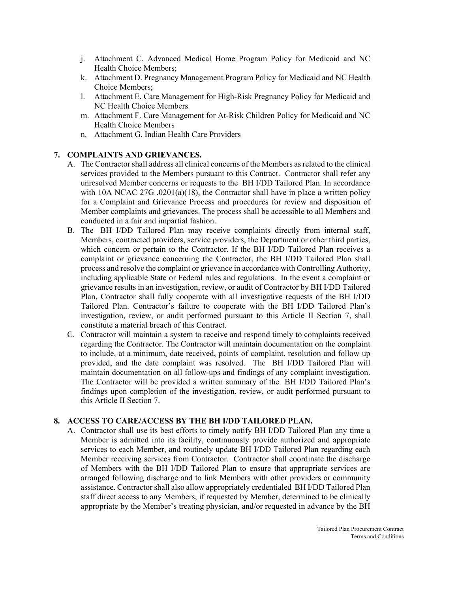- j. Attachment C. Advanced Medical Home Program Policy for Medicaid and NC Health Choice Members;
- k. Attachment D. Pregnancy Management Program Policy for Medicaid and NC Health Choice Members;
- l. Attachment E. Care Management for High-Risk Pregnancy Policy for Medicaid and NC Health Choice Members
- m. Attachment F. Care Management for At-Risk Children Policy for Medicaid and NC Health Choice Members
- n. Attachment G. Indian Health Care Providers

## **7. COMPLAINTS AND GRIEVANCES.**

- A. The Contractor shall address all clinical concerns of the Members as related to the clinical services provided to the Members pursuant to this Contract. Contractor shall refer any unresolved Member concerns or requests to the BH I/DD Tailored Plan. In accordance with 10A NCAC 27G .0201(a)(18), the Contractor shall have in place a written policy for a Complaint and Grievance Process and procedures for review and disposition of Member complaints and grievances. The process shall be accessible to all Members and conducted in a fair and impartial fashion.
- B. The BH I/DD Tailored Plan may receive complaints directly from internal staff, Members, contracted providers, service providers, the Department or other third parties, which concern or pertain to the Contractor. If the BH I/DD Tailored Plan receives a complaint or grievance concerning the Contractor, the BH I/DD Tailored Plan shall process and resolve the complaint or grievance in accordance with Controlling Authority, including applicable State or Federal rules and regulations. In the event a complaint or grievance results in an investigation, review, or audit of Contractor by BH I/DD Tailored Plan, Contractor shall fully cooperate with all investigative requests of the BH I/DD Tailored Plan. Contractor's failure to cooperate with the BH I/DD Tailored Plan's investigation, review, or audit performed pursuant to this Article II Section 7, shall constitute a material breach of this Contract.
- C. Contractor will maintain a system to receive and respond timely to complaints received regarding the Contractor. The Contractor will maintain documentation on the complaint to include, at a minimum, date received, points of complaint, resolution and follow up provided, and the date complaint was resolved. The BH I/DD Tailored Plan will maintain documentation on all follow-ups and findings of any complaint investigation. The Contractor will be provided a written summary of the BH I/DD Tailored Plan's findings upon completion of the investigation, review, or audit performed pursuant to this Article II Section 7.

### **8. ACCESS TO CARE/ACCESS BY THE BH I/DD TAILORED PLAN.**

A. Contractor shall use its best efforts to timely notify BH I/DD Tailored Plan any time a Member is admitted into its facility, continuously provide authorized and appropriate services to each Member, and routinely update BH I/DD Tailored Plan regarding each Member receiving services from Contractor. Contractor shall coordinate the discharge of Members with the BH I/DD Tailored Plan to ensure that appropriate services are arranged following discharge and to link Members with other providers or community assistance. Contractor shall also allow appropriately credentialed BH I/DD Tailored Plan staff direct access to any Members, if requested by Member, determined to be clinically appropriate by the Member's treating physician, and/or requested in advance by the BH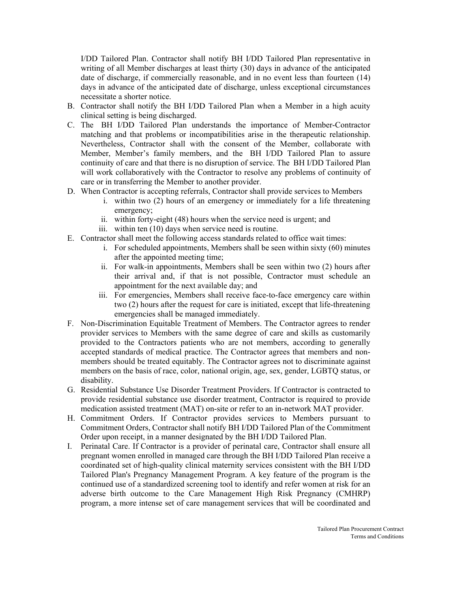I/DD Tailored Plan. Contractor shall notify BH I/DD Tailored Plan representative in writing of all Member discharges at least thirty (30) days in advance of the anticipated date of discharge, if commercially reasonable, and in no event less than fourteen (14) days in advance of the anticipated date of discharge, unless exceptional circumstances necessitate a shorter notice.

- B. Contractor shall notify the BH I/DD Tailored Plan when a Member in a high acuity clinical setting is being discharged.
- C. The BH I/DD Tailored Plan understands the importance of Member-Contractor matching and that problems or incompatibilities arise in the therapeutic relationship. Nevertheless, Contractor shall with the consent of the Member, collaborate with Member, Member's family members, and the BH I/DD Tailored Plan to assure continuity of care and that there is no disruption of service. The BH I/DD Tailored Plan will work collaboratively with the Contractor to resolve any problems of continuity of care or in transferring the Member to another provider.
- D. When Contractor is accepting referrals, Contractor shall provide services to Members
	- i. within two (2) hours of an emergency or immediately for a life threatening emergency;
	- ii. within forty-eight (48) hours when the service need is urgent; and
	- iii. within ten (10) days when service need is routine.
- E. Contractor shall meet the following access standards related to office wait times:
	- i. For scheduled appointments, Members shall be seen within sixty (60) minutes after the appointed meeting time;
	- ii. For walk-in appointments, Members shall be seen within two (2) hours after their arrival and, if that is not possible, Contractor must schedule an appointment for the next available day; and
	- iii. For emergencies, Members shall receive face-to-face emergency care within two (2) hours after the request for care is initiated, except that life-threatening emergencies shall be managed immediately.
- F. Non-Discrimination Equitable Treatment of Members. The Contractor agrees to render provider services to Members with the same degree of care and skills as customarily provided to the Contractors patients who are not members, according to generally accepted standards of medical practice. The Contractor agrees that members and nonmembers should be treated equitably. The Contractor agrees not to discriminate against members on the basis of race, color, national origin, age, sex, gender, LGBTQ status, or disability.
- G. Residential Substance Use Disorder Treatment Providers. If Contractor is contracted to provide residential substance use disorder treatment, Contractor is required to provide medication assisted treatment (MAT) on-site or refer to an in-network MAT provider.
- H. Commitment Orders. If Contractor provides services to Members pursuant to Commitment Orders, Contractor shall notify BH I/DD Tailored Plan of the Commitment Order upon receipt, in a manner designated by the BH I/DD Tailored Plan.
- I. Perinatal Care. If Contractor is a provider of perinatal care, Contractor shall ensure all pregnant women enrolled in managed care through the BH I/DD Tailored Plan receive a coordinated set of high-quality clinical maternity services consistent with the BH I/DD Tailored Plan's Pregnancy Management Program. A key feature of the program is the continued use of a standardized screening tool to identify and refer women at risk for an adverse birth outcome to the Care Management High Risk Pregnancy (CMHRP) program, a more intense set of care management services that will be coordinated and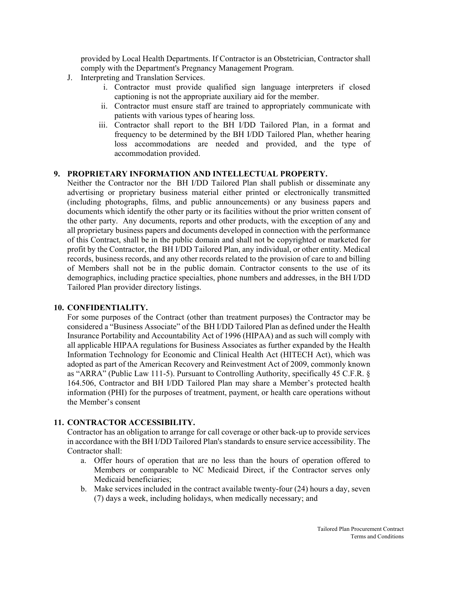provided by Local Health Departments. If Contractor is an Obstetrician, Contractor shall comply with the Department's Pregnancy Management Program.

- J. Interpreting and Translation Services.
	- i. Contractor must provide qualified sign language interpreters if closed captioning is not the appropriate auxiliary aid for the member.
	- ii. Contractor must ensure staff are trained to appropriately communicate with patients with various types of hearing loss.
	- iii. Contractor shall report to the BH I/DD Tailored Plan, in a format and frequency to be determined by the BH I/DD Tailored Plan, whether hearing loss accommodations are needed and provided, and the type of accommodation provided.

### **9. PROPRIETARY INFORMATION AND INTELLECTUAL PROPERTY.**

Neither the Contractor nor the BH I/DD Tailored Plan shall publish or disseminate any advertising or proprietary business material either printed or electronically transmitted (including photographs, films, and public announcements) or any business papers and documents which identify the other party or its facilities without the prior written consent of the other party. Any documents, reports and other products, with the exception of any and all proprietary business papers and documents developed in connection with the performance of this Contract, shall be in the public domain and shall not be copyrighted or marketed for profit by the Contractor, the BH I/DD Tailored Plan, any individual, or other entity. Medical records, business records, and any other records related to the provision of care to and billing of Members shall not be in the public domain. Contractor consents to the use of its demographics, including practice specialties, phone numbers and addresses, in the BH I/DD Tailored Plan provider directory listings.

### **10. CONFIDENTIALITY.**

For some purposes of the Contract (other than treatment purposes) the Contractor may be considered a "Business Associate" of the BH I/DD Tailored Plan as defined under the Health Insurance Portability and Accountability Act of 1996 (HIPAA) and as such will comply with all applicable HIPAA regulations for Business Associates as further expanded by the Health Information Technology for Economic and Clinical Health Act (HITECH Act), which was adopted as part of the American Recovery and Reinvestment Act of 2009, commonly known as "ARRA" (Public Law 111-5). Pursuant to Controlling Authority, specifically 45 C.F.R. § 164.506, Contractor and BH I/DD Tailored Plan may share a Member's protected health information (PHI) for the purposes of treatment, payment, or health care operations without the Member's consent

### **11. CONTRACTOR ACCESSIBILITY.**

Contractor has an obligation to arrange for call coverage or other back-up to provide services in accordance with the BH I/DD Tailored Plan's standards to ensure service accessibility. The Contractor shall:

- a. Offer hours of operation that are no less than the hours of operation offered to Members or comparable to NC Medicaid Direct, if the Contractor serves only Medicaid beneficiaries;
- b. Make services included in the contract available twenty-four (24) hours a day, seven (7) days a week, including holidays, when medically necessary; and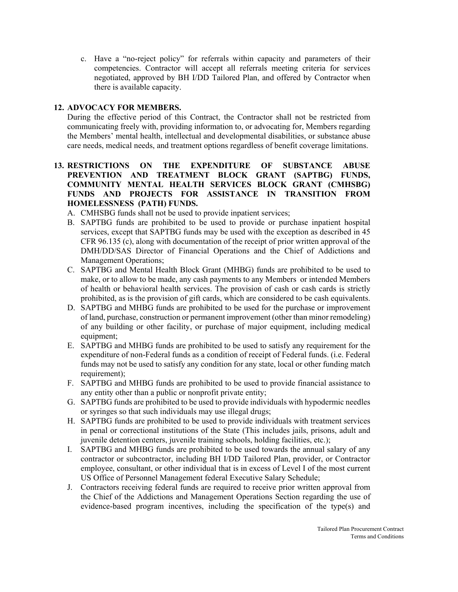c. Have a "no-reject policy" for referrals within capacity and parameters of their competencies. Contractor will accept all referrals meeting criteria for services negotiated, approved by BH I/DD Tailored Plan, and offered by Contractor when there is available capacity.

## **12. ADVOCACY FOR MEMBERS.**

During the effective period of this Contract, the Contractor shall not be restricted from communicating freely with, providing information to, or advocating for, Members regarding the Members' mental health, intellectual and developmental disabilities, or substance abuse care needs, medical needs, and treatment options regardless of benefit coverage limitations.

## **13. RESTRICTIONS ON THE EXPENDITURE OF SUBSTANCE ABUSE PREVENTION AND TREATMENT BLOCK GRANT (SAPTBG) FUNDS, COMMUNITY MENTAL HEALTH SERVICES BLOCK GRANT (CMHSBG) FUNDS AND PROJECTS FOR ASSISTANCE IN TRANSITION FROM HOMELESSNESS (PATH) FUNDS.**

A. CMHSBG funds shall not be used to provide inpatient services;

- B. SAPTBG funds are prohibited to be used to provide or purchase inpatient hospital services, except that SAPTBG funds may be used with the exception as described in 45 CFR 96.135 (c), along with documentation of the receipt of prior written approval of the DMH/DD/SAS Director of Financial Operations and the Chief of Addictions and Management Operations;
- C. SAPTBG and Mental Health Block Grant (MHBG) funds are prohibited to be used to make, or to allow to be made, any cash payments to any Members or intended Members of health or behavioral health services. The provision of cash or cash cards is strictly prohibited, as is the provision of gift cards, which are considered to be cash equivalents.
- D. SAPTBG and MHBG funds are prohibited to be used for the purchase or improvement of land, purchase, construction or permanent improvement (other than minor remodeling) of any building or other facility, or purchase of major equipment, including medical equipment;
- E. SAPTBG and MHBG funds are prohibited to be used to satisfy any requirement for the expenditure of non-Federal funds as a condition of receipt of Federal funds. (i.e. Federal funds may not be used to satisfy any condition for any state, local or other funding match requirement);
- F. SAPTBG and MHBG funds are prohibited to be used to provide financial assistance to any entity other than a public or nonprofit private entity;
- G. SAPTBG funds are prohibited to be used to provide individuals with hypodermic needles or syringes so that such individuals may use illegal drugs;
- H. SAPTBG funds are prohibited to be used to provide individuals with treatment services in penal or correctional institutions of the State (This includes jails, prisons, adult and juvenile detention centers, juvenile training schools, holding facilities, etc.);
- I. SAPTBG and MHBG funds are prohibited to be used towards the annual salary of any contractor or subcontractor, including BH I/DD Tailored Plan, provider, or Contractor employee, consultant, or other individual that is in excess of Level I of the most current US Office of Personnel Management federal Executive Salary Schedule;
- J. Contractors receiving federal funds are required to receive prior written approval from the Chief of the Addictions and Management Operations Section regarding the use of evidence-based program incentives, including the specification of the type(s) and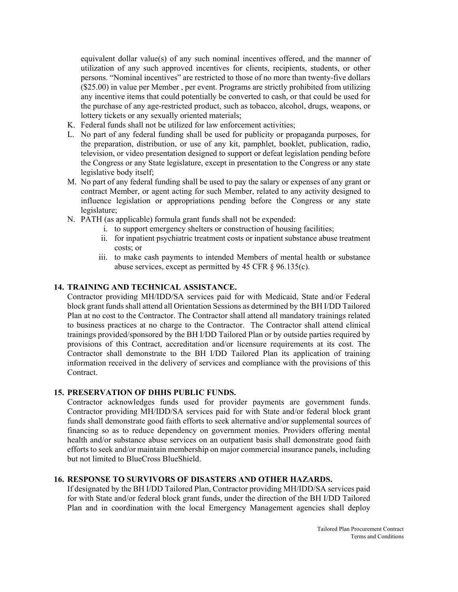equivalent dollar value(s) of any such nominal incentives offered, and the manner of utilization of any such approved incentives for clients, recipients, students, or other persons. "Nominal incentives" are restricted to those of no more than twenty-five dollars (\$25.00) in value per Member , per event. Programs are strictly prohibited from utilizing any incentive items that could potentially be converted to cash, or that could be used for the purchase of any age-restricted product, such as tobacco, alcohol, drugs, weapons, or lottery tickets or any sexually oriented materials;

- K. Federal funds shall not be utilized for law enforcement activities;
- L. No part of any federal funding shall be used for publicity or propaganda purposes, for the preparation, distribution, or use of any kit, pamphlet, booklet, publication, radio, television, or video presentation designed to support or defeat legislation pending before the Congress or any State legislature, except in presentation to the Congress or any state legislative body itself;
- M. No part of any federal funding shall be used to pay the salary or expenses of any grant or contract Member, or agent acting for such Member, related to any activity designed to influence legislation or appropriations pending before the Congress or any state legislature;
- N. PATH (as applicable) formula grant funds shall not be expended:
	- i. to support emergency shelters or construction of housing facilities;
	- ii. for inpatient psychiatric treatment costs or inpatient substance abuse treatment costs; or
	- iii. to make cash payments to intended Members of mental health or substance abuse services, except as permitted by 45 CFR § 96.135(c).

#### **14. TRAINING AND TECHNICAL ASSISTANCE.**

Contractor providing MH/IDD/SA services paid for with Medicaid, State and/or Federal block grant funds shall attend all Orientation Sessions as determined by the BH I/DD Tailored Plan at no cost to the Contractor. The Contractor shall attend all mandatory trainings related to business practices at no charge to the Contractor. The Contractor shall attend clinical trainings provided/sponsored by the BH I/DD Tailored Plan or by outside parties required by provisions of this Contract, accreditation and/or licensure requirements at its cost. The Contractor shall demonstrate to the BH I/DD Tailored Plan its application of training information received in the delivery of services and compliance with the provisions of this Contract.

### **15. PRESERVATION OF DHHS PUBLIC FUNDS.**

Contractor acknowledges funds used for provider payments are government funds. Contractor providing MH/IDD/SA services paid for with State and/or federal block grant funds shall demonstrate good faith efforts to seek alternative and/or supplemental sources of financing so as to reduce dependency on government monies. Providers offering mental health and/or substance abuse services on an outpatient basis shall demonstrate good faith efforts to seek and/or maintain membership on major commercial insurance panels, including but not limited to BlueCross BlueShield.

## **16. RESPONSE TO SURVIVORS OF DISASTERS AND OTHER HAZARDS.**

If designated by the BH I/DD Tailored Plan, Contractor providing MH/IDD/SA services paid for with State and/or federal block grant funds, under the direction of the BH I/DD Tailored Plan and in coordination with the local Emergency Management agencies shall deploy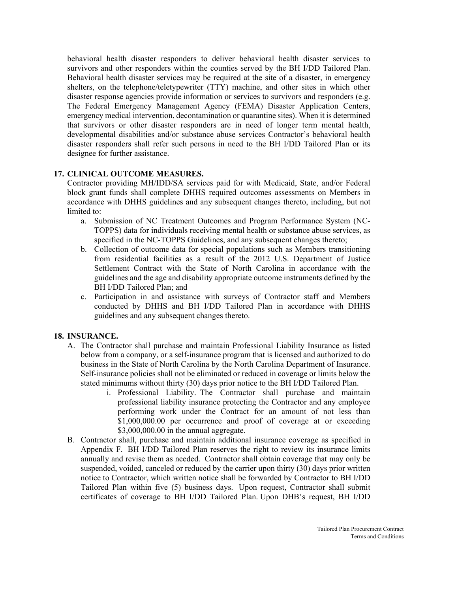behavioral health disaster responders to deliver behavioral health disaster services to survivors and other responders within the counties served by the BH I/DD Tailored Plan. Behavioral health disaster services may be required at the site of a disaster, in emergency shelters, on the telephone/teletypewriter (TTY) machine, and other sites in which other disaster response agencies provide information or services to survivors and responders (e.g. The Federal Emergency Management Agency (FEMA) Disaster Application Centers, emergency medical intervention, decontamination or quarantine sites). When it is determined that survivors or other disaster responders are in need of longer term mental health, developmental disabilities and/or substance abuse services Contractor's behavioral health disaster responders shall refer such persons in need to the BH I/DD Tailored Plan or its designee for further assistance.

#### **17. CLINICAL OUTCOME MEASURES.**

Contractor providing MH/IDD/SA services paid for with Medicaid, State, and/or Federal block grant funds shall complete DHHS required outcomes assessments on Members in accordance with DHHS guidelines and any subsequent changes thereto, including, but not limited to:

- a. Submission of NC Treatment Outcomes and Program Performance System (NC-TOPPS) data for individuals receiving mental health or substance abuse services, as specified in the NC-TOPPS Guidelines, and any subsequent changes thereto;
- b. Collection of outcome data for special populations such as Members transitioning from residential facilities as a result of the 2012 U.S. Department of Justice Settlement Contract with the State of North Carolina in accordance with the guidelines and the age and disability appropriate outcome instruments defined by the BH I/DD Tailored Plan; and
- c. Participation in and assistance with surveys of Contractor staff and Members conducted by DHHS and BH I/DD Tailored Plan in accordance with DHHS guidelines and any subsequent changes thereto.

### **18. INSURANCE.**

- A. The Contractor shall purchase and maintain Professional Liability Insurance as listed below from a company, or a self-insurance program that is licensed and authorized to do business in the State of North Carolina by the North Carolina Department of Insurance. Self-insurance policies shall not be eliminated or reduced in coverage or limits below the stated minimums without thirty (30) days prior notice to the BH I/DD Tailored Plan.
	- i. Professional Liability. The Contractor shall purchase and maintain professional liability insurance protecting the Contractor and any employee performing work under the Contract for an amount of not less than \$1,000,000.00 per occurrence and proof of coverage at or exceeding \$3,000,000.00 in the annual aggregate.
- B. Contractor shall, purchase and maintain additional insurance coverage as specified in Appendix F. BH I/DD Tailored Plan reserves the right to review its insurance limits annually and revise them as needed. Contractor shall obtain coverage that may only be suspended, voided, canceled or reduced by the carrier upon thirty (30) days prior written notice to Contractor, which written notice shall be forwarded by Contractor to BH I/DD Tailored Plan within five (5) business days. Upon request, Contractor shall submit certificates of coverage to BH I/DD Tailored Plan. Upon DHB's request, BH I/DD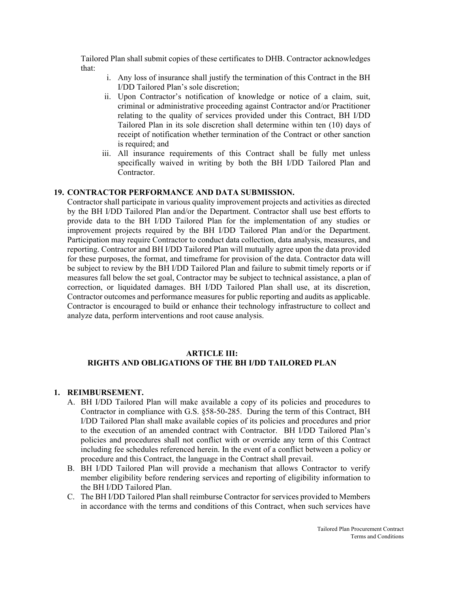Tailored Plan shall submit copies of these certificates to DHB. Contractor acknowledges that:

- i. Any loss of insurance shall justify the termination of this Contract in the BH I/DD Tailored Plan's sole discretion;
- ii. Upon Contractor's notification of knowledge or notice of a claim, suit, criminal or administrative proceeding against Contractor and/or Practitioner relating to the quality of services provided under this Contract, BH I/DD Tailored Plan in its sole discretion shall determine within ten (10) days of receipt of notification whether termination of the Contract or other sanction is required; and
- iii. All insurance requirements of this Contract shall be fully met unless specifically waived in writing by both the BH I/DD Tailored Plan and Contractor.

### **19. CONTRACTOR PERFORMANCE AND DATA SUBMISSION.**

Contractor shall participate in various quality improvement projects and activities as directed by the BH I/DD Tailored Plan and/or the Department. Contractor shall use best efforts to provide data to the BH I/DD Tailored Plan for the implementation of any studies or improvement projects required by the BH I/DD Tailored Plan and/or the Department. Participation may require Contractor to conduct data collection, data analysis, measures, and reporting. Contractor and BH I/DD Tailored Plan will mutually agree upon the data provided for these purposes, the format, and timeframe for provision of the data. Contractor data will be subject to review by the BH I/DD Tailored Plan and failure to submit timely reports or if measures fall below the set goal, Contractor may be subject to technical assistance, a plan of correction, or liquidated damages. BH I/DD Tailored Plan shall use, at its discretion, Contractor outcomes and performance measures for public reporting and audits as applicable. Contractor is encouraged to build or enhance their technology infrastructure to collect and analyze data, perform interventions and root cause analysis.

#### **ARTICLE III: RIGHTS AND OBLIGATIONS OF THE BH I/DD TAILORED PLAN**

#### **1. REIMBURSEMENT.**

- A. BH I/DD Tailored Plan will make available a copy of its policies and procedures to Contractor in compliance with G.S. §58-50-285. During the term of this Contract, BH I/DD Tailored Plan shall make available copies of its policies and procedures and prior to the execution of an amended contract with Contractor. BH I/DD Tailored Plan's policies and procedures shall not conflict with or override any term of this Contract including fee schedules referenced herein. In the event of a conflict between a policy or procedure and this Contract, the language in the Contract shall prevail.
- B. BH I/DD Tailored Plan will provide a mechanism that allows Contractor to verify member eligibility before rendering services and reporting of eligibility information to the BH I/DD Tailored Plan.
- C. The BH I/DD Tailored Plan shall reimburse Contractor for services provided to Members in accordance with the terms and conditions of this Contract, when such services have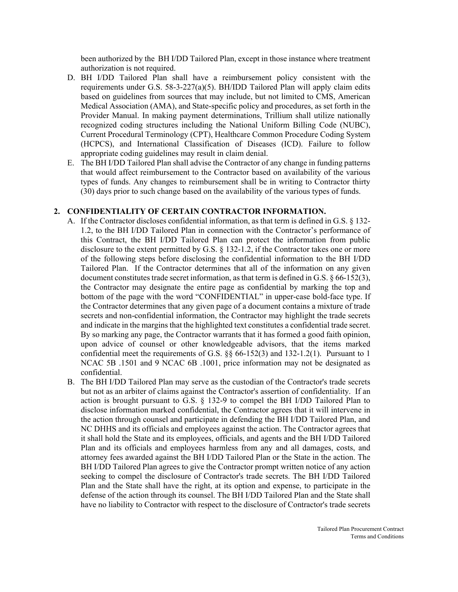been authorized by the BH I/DD Tailored Plan, except in those instance where treatment authorization is not required.

- D. BH I/DD Tailored Plan shall have a reimbursement policy consistent with the requirements under G.S.  $58-3-227(a)(5)$ . BH/IDD Tailored Plan will apply claim edits based on guidelines from sources that may include, but not limited to CMS, American Medical Association (AMA), and State-specific policy and procedures, as set forth in the Provider Manual. In making payment determinations, Trillium shall utilize nationally recognized coding structures including the National Uniform Billing Code (NUBC), Current Procedural Terminology (CPT), Healthcare Common Procedure Coding System (HCPCS), and International Classification of Diseases (ICD). Failure to follow appropriate coding guidelines may result in claim denial.
- E. The BH I/DD Tailored Plan shall advise the Contractor of any change in funding patterns that would affect reimbursement to the Contractor based on availability of the various types of funds. Any changes to reimbursement shall be in writing to Contractor thirty (30) days prior to such change based on the availability of the various types of funds.

#### **2. CONFIDENTIALITY OF CERTAIN CONTRACTOR INFORMATION.**

- A. If the Contractor discloses confidential information, as that term is defined in G.S. § 132- 1.2, to the BH I/DD Tailored Plan in connection with the Contractor's performance of this Contract, the BH I/DD Tailored Plan can protect the information from public disclosure to the extent permitted by G.S. § 132-1.2, if the Contractor takes one or more of the following steps before disclosing the confidential information to the BH I/DD Tailored Plan. If the Contractor determines that all of the information on any given document constitutes trade secret information, as that term is defined in G.S. § 66-152(3), the Contractor may designate the entire page as confidential by marking the top and bottom of the page with the word "CONFIDENTIAL" in upper-case bold-face type. If the Contractor determines that any given page of a document contains a mixture of trade secrets and non-confidential information, the Contractor may highlight the trade secrets and indicate in the margins that the highlighted text constitutes a confidential trade secret. By so marking any page, the Contractor warrants that it has formed a good faith opinion, upon advice of counsel or other knowledgeable advisors, that the items marked confidential meet the requirements of G.S. §§ 66-152(3) and 132-1.2(1). Pursuant to 1 NCAC 5B .1501 and 9 NCAC 6B .1001, price information may not be designated as confidential.
- B. The BH I/DD Tailored Plan may serve as the custodian of the Contractor's trade secrets but not as an arbiter of claims against the Contractor's assertion of confidentiality. If an action is brought pursuant to G.S.  $\S$  132-9 to compel the BH I/DD Tailored Plan to disclose information marked confidential, the Contractor agrees that it will intervene in the action through counsel and participate in defending the BH I/DD Tailored Plan, and NC DHHS and its officials and employees against the action. The Contractor agrees that it shall hold the State and its employees, officials, and agents and the BH I/DD Tailored Plan and its officials and employees harmless from any and all damages, costs, and attorney fees awarded against the BH I/DD Tailored Plan or the State in the action. The BH I/DD Tailored Plan agrees to give the Contractor prompt written notice of any action seeking to compel the disclosure of Contractor's trade secrets. The BH I/DD Tailored Plan and the State shall have the right, at its option and expense, to participate in the defense of the action through its counsel. The BH I/DD Tailored Plan and the State shall have no liability to Contractor with respect to the disclosure of Contractor's trade secrets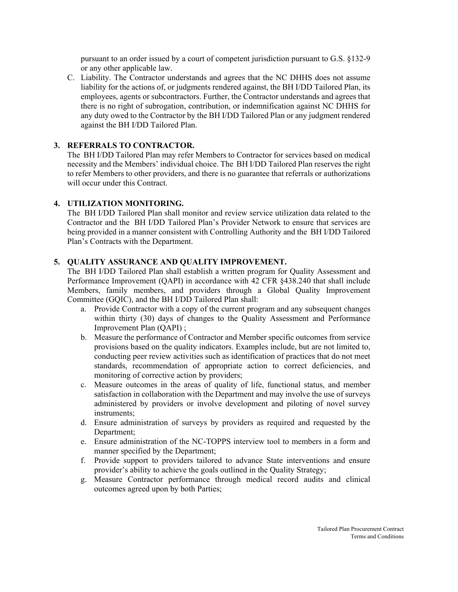pursuant to an order issued by a court of competent jurisdiction pursuant to G.S. §132-9 or any other applicable law.

C. Liability. The Contractor understands and agrees that the NC DHHS does not assume liability for the actions of, or judgments rendered against, the BH I/DD Tailored Plan, its employees, agents or subcontractors. Further, the Contractor understands and agrees that there is no right of subrogation, contribution, or indemnification against NC DHHS for any duty owed to the Contractor by the BH I/DD Tailored Plan or any judgment rendered against the BH I/DD Tailored Plan.

## **3. REFERRALS TO CONTRACTOR.**

The BH I/DD Tailored Plan may refer Members to Contractor for services based on medical necessity and the Members' individual choice. The BH I/DD Tailored Plan reserves the right to refer Members to other providers, and there is no guarantee that referrals or authorizations will occur under this Contract.

## **4. UTILIZATION MONITORING.**

The BH I/DD Tailored Plan shall monitor and review service utilization data related to the Contractor and the BH I/DD Tailored Plan's Provider Network to ensure that services are being provided in a manner consistent with Controlling Authority and the BH I/DD Tailored Plan's Contracts with the Department.

## **5. QUALITY ASSURANCE AND QUALITY IMPROVEMENT.**

The BH I/DD Tailored Plan shall establish a written program for Quality Assessment and Performance Improvement (QAPI) in accordance with 42 CFR §438.240 that shall include Members, family members, and providers through a Global Quality Improvement Committee (GQIC), and the BH I/DD Tailored Plan shall:

- a. Provide Contractor with a copy of the current program and any subsequent changes within thirty (30) days of changes to the Quality Assessment and Performance Improvement Plan (QAPI) ;
- b. Measure the performance of Contractor and Member specific outcomes from service provisions based on the quality indicators. Examples include, but are not limited to, conducting peer review activities such as identification of practices that do not meet standards, recommendation of appropriate action to correct deficiencies, and monitoring of corrective action by providers;
- c. Measure outcomes in the areas of quality of life, functional status, and member satisfaction in collaboration with the Department and may involve the use of surveys administered by providers or involve development and piloting of novel survey instruments;
- d. Ensure administration of surveys by providers as required and requested by the Department;
- e. Ensure administration of the NC-TOPPS interview tool to members in a form and manner specified by the Department;
- f. Provide support to providers tailored to advance State interventions and ensure provider's ability to achieve the goals outlined in the Quality Strategy;
- g. Measure Contractor performance through medical record audits and clinical outcomes agreed upon by both Parties;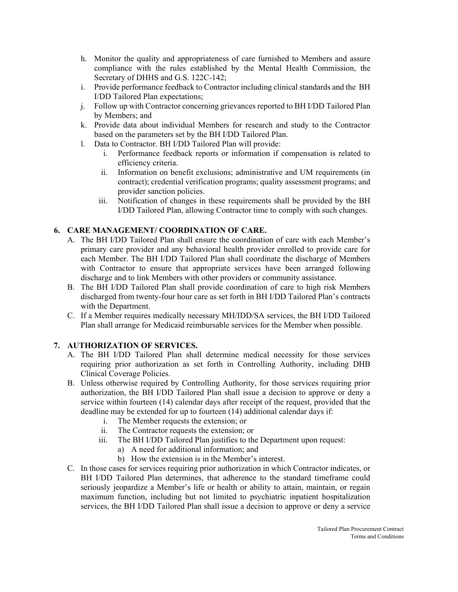- h. Monitor the quality and appropriateness of care furnished to Members and assure compliance with the rules established by the Mental Health Commission, the Secretary of DHHS and G.S. 122C-142;
- i. Provide performance feedback to Contractor including clinical standards and the BH I/DD Tailored Plan expectations;
- j. Follow up with Contractor concerning grievances reported to BH I/DD Tailored Plan by Members; and
- k. Provide data about individual Members for research and study to the Contractor based on the parameters set by the BH I/DD Tailored Plan.
- l. Data to Contractor. BH I/DD Tailored Plan will provide:
	- i. Performance feedback reports or information if compensation is related to efficiency criteria.
	- ii. Information on benefit exclusions; administrative and UM requirements (in contract); credential verification programs; quality assessment programs; and provider sanction policies.
	- iii. Notification of changes in these requirements shall be provided by the BH I/DD Tailored Plan, allowing Contractor time to comply with such changes.

# **6. CARE MANAGEMENT/ COORDINATION OF CARE.**

- A. The BH I/DD Tailored Plan shall ensure the coordination of care with each Member's primary care provider and any behavioral health provider enrolled to provide care for each Member. The BH I/DD Tailored Plan shall coordinate the discharge of Members with Contractor to ensure that appropriate services have been arranged following discharge and to link Members with other providers or community assistance.
- B. The BH I/DD Tailored Plan shall provide coordination of care to high risk Members discharged from twenty-four hour care as set forth in BH I/DD Tailored Plan's contracts with the Department.
- C. If a Member requires medically necessary MH/IDD/SA services, the BH I/DD Tailored Plan shall arrange for Medicaid reimbursable services for the Member when possible.

# **7. AUTHORIZATION OF SERVICES.**

- A. The BH I/DD Tailored Plan shall determine medical necessity for those services requiring prior authorization as set forth in Controlling Authority, including DHB Clinical Coverage Policies.
- B. Unless otherwise required by Controlling Authority, for those services requiring prior authorization, the BH I/DD Tailored Plan shall issue a decision to approve or deny a service within fourteen (14) calendar days after receipt of the request, provided that the deadline may be extended for up to fourteen (14) additional calendar days if:
	- i. The Member requests the extension; or
	- ii. The Contractor requests the extension; or
	- iii. The BH I/DD Tailored Plan justifies to the Department upon request:
		- a) A need for additional information; and
		- b) How the extension is in the Member's interest.
- C. In those cases for services requiring prior authorization in which Contractor indicates, or BH I/DD Tailored Plan determines, that adherence to the standard timeframe could seriously jeopardize a Member's life or health or ability to attain, maintain, or regain maximum function, including but not limited to psychiatric inpatient hospitalization services, the BH I/DD Tailored Plan shall issue a decision to approve or deny a service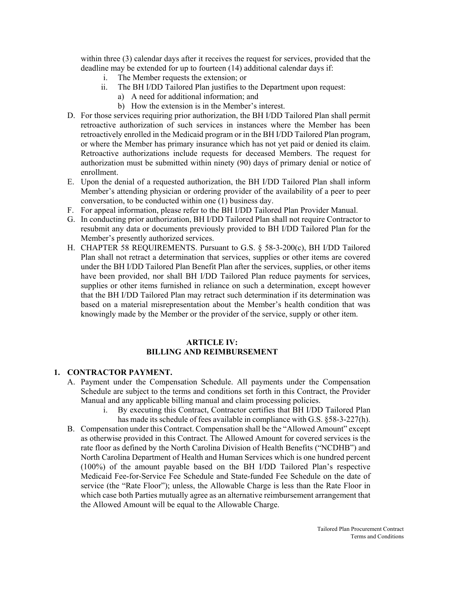within three (3) calendar days after it receives the request for services, provided that the deadline may be extended for up to fourteen (14) additional calendar days if:

- i. The Member requests the extension; or
- ii. The BH I/DD Tailored Plan justifies to the Department upon request:
	- a) A need for additional information; and
	- b) How the extension is in the Member's interest.
- D. For those services requiring prior authorization, the BH I/DD Tailored Plan shall permit retroactive authorization of such services in instances where the Member has been retroactively enrolled in the Medicaid program or in the BH I/DD Tailored Plan program, or where the Member has primary insurance which has not yet paid or denied its claim. Retroactive authorizations include requests for deceased Members. The request for authorization must be submitted within ninety (90) days of primary denial or notice of enrollment.
- E. Upon the denial of a requested authorization, the BH I/DD Tailored Plan shall inform Member's attending physician or ordering provider of the availability of a peer to peer conversation, to be conducted within one (1) business day.
- F. For appeal information, please refer to the BH I/DD Tailored Plan Provider Manual.
- G. In conducting prior authorization, BH I/DD Tailored Plan shall not require Contractor to resubmit any data or documents previously provided to BH I/DD Tailored Plan for the Member's presently authorized services.
- H. CHAPTER 58 REQUIREMENTS. Pursuant to G.S. § 58-3-200(c), BH I/DD Tailored Plan shall not retract a determination that services, supplies or other items are covered under the BH I/DD Tailored Plan Benefit Plan after the services, supplies, or other items have been provided, nor shall BH I/DD Tailored Plan reduce payments for services, supplies or other items furnished in reliance on such a determination, except however that the BH I/DD Tailored Plan may retract such determination if its determination was based on a material misrepresentation about the Member's health condition that was knowingly made by the Member or the provider of the service, supply or other item.

#### **ARTICLE IV: BILLING AND REIMBURSEMENT**

#### **1. CONTRACTOR PAYMENT.**

- A. Payment under the Compensation Schedule. All payments under the Compensation Schedule are subject to the terms and conditions set forth in this Contract, the Provider Manual and any applicable billing manual and claim processing policies.
	- i. By executing this Contract, Contractor certifies that BH I/DD Tailored Plan has made its schedule of fees available in compliance with G.S. §58-3-227(h).
- B. Compensation under this Contract. Compensation shall be the "Allowed Amount" except as otherwise provided in this Contract. The Allowed Amount for covered services is the rate floor as defined by the North Carolina Division of Health Benefits ("NCDHB") and North Carolina Department of Health and Human Services which is one hundred percent (100%) of the amount payable based on the BH I/DD Tailored Plan's respective Medicaid Fee-for-Service Fee Schedule and State-funded Fee Schedule on the date of service (the "Rate Floor"); unless, the Allowable Charge is less than the Rate Floor in which case both Parties mutually agree as an alternative reimbursement arrangement that the Allowed Amount will be equal to the Allowable Charge.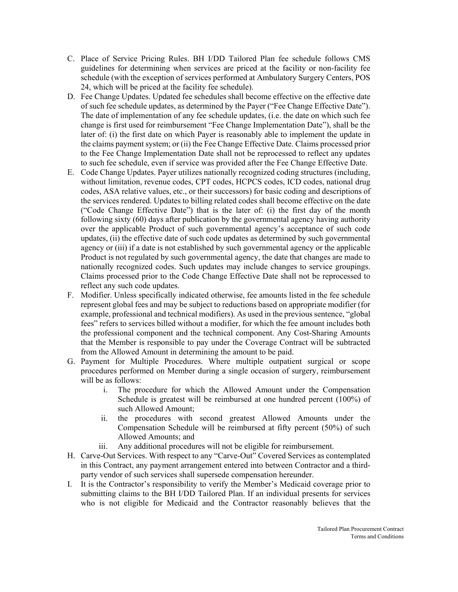- C. Place of Service Pricing Rules. BH I/DD Tailored Plan fee schedule follows CMS guidelines for determining when services are priced at the facility or non-facility fee schedule (with the exception of services performed at Ambulatory Surgery Centers, POS 24, which will be priced at the facility fee schedule).
- D. Fee Change Updates. Updated fee schedules shall become effective on the effective date of such fee schedule updates, as determined by the Payer ("Fee Change Effective Date"). The date of implementation of any fee schedule updates, (i.e. the date on which such fee change is first used for reimbursement "Fee Change Implementation Date"), shall be the later of: (i) the first date on which Payer is reasonably able to implement the update in the claims payment system; or (ii) the Fee Change Effective Date. Claims processed prior to the Fee Change Implementation Date shall not be reprocessed to reflect any updates to such fee schedule, even if service was provided after the Fee Change Effective Date.
- E. Code Change Updates. Payer utilizes nationally recognized coding structures (including, without limitation, revenue codes, CPT codes, HCPCS codes, ICD codes, national drug codes, ASA relative values, etc., or their successors) for basic coding and descriptions of the services rendered. Updates to billing related codes shall become effective on the date ("Code Change Effective Date") that is the later of: (i) the first day of the month following sixty (60) days after publication by the governmental agency having authority over the applicable Product of such governmental agency's acceptance of such code updates, (ii) the effective date of such code updates as determined by such governmental agency or (iii) if a date is not established by such governmental agency or the applicable Product is not regulated by such governmental agency, the date that changes are made to nationally recognized codes. Such updates may include changes to service groupings. Claims processed prior to the Code Change Effective Date shall not be reprocessed to reflect any such code updates.
- F. Modifier. Unless specifically indicated otherwise, fee amounts listed in the fee schedule represent global fees and may be subject to reductions based on appropriate modifier (for example, professional and technical modifiers). As used in the previous sentence, "global fees" refers to services billed without a modifier, for which the fee amount includes both the professional component and the technical component. Any Cost-Sharing Amounts that the Member is responsible to pay under the Coverage Contract will be subtracted from the Allowed Amount in determining the amount to be paid.
- G. Payment for Multiple Procedures. Where multiple outpatient surgical or scope procedures performed on Member during a single occasion of surgery, reimbursement will be as follows:
	- i. The procedure for which the Allowed Amount under the Compensation Schedule is greatest will be reimbursed at one hundred percent (100%) of such Allowed Amount;
	- ii. the procedures with second greatest Allowed Amounts under the Compensation Schedule will be reimbursed at fifty percent (50%) of such Allowed Amounts; and
	- iii. Any additional procedures will not be eligible for reimbursement.
- H. Carve-Out Services. With respect to any "Carve-Out" Covered Services as contemplated in this Contract, any payment arrangement entered into between Contractor and a thirdparty vendor of such services shall supersede compensation hereunder.
- I. It is the Contractor's responsibility to verify the Member's Medicaid coverage prior to submitting claims to the BH I/DD Tailored Plan. If an individual presents for services who is not eligible for Medicaid and the Contractor reasonably believes that the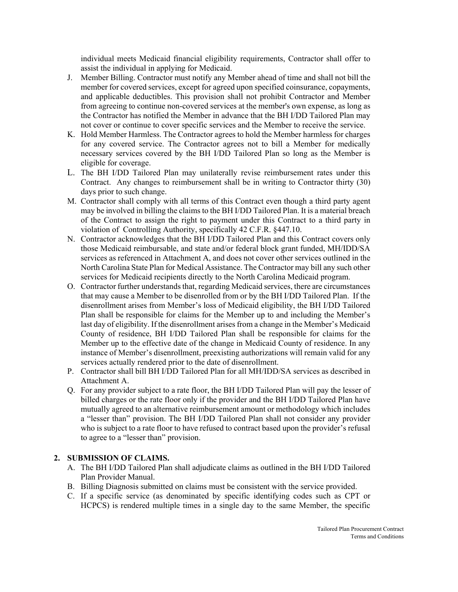individual meets Medicaid financial eligibility requirements, Contractor shall offer to assist the individual in applying for Medicaid.

- J. Member Billing. Contractor must notify any Member ahead of time and shall not bill the member for covered services, except for agreed upon specified coinsurance, copayments, and applicable deductibles. This provision shall not prohibit Contractor and Member from agreeing to continue non-covered services at the member's own expense, as long as the Contractor has notified the Member in advance that the BH I/DD Tailored Plan may not cover or continue to cover specific services and the Member to receive the service.
- K. Hold Member Harmless. The Contractor agrees to hold the Member harmless for charges for any covered service. The Contractor agrees not to bill a Member for medically necessary services covered by the BH I/DD Tailored Plan so long as the Member is eligible for coverage.
- L. The BH I/DD Tailored Plan may unilaterally revise reimbursement rates under this Contract. Any changes to reimbursement shall be in writing to Contractor thirty (30) days prior to such change.
- M. Contractor shall comply with all terms of this Contract even though a third party agent may be involved in billing the claims to the BH I/DD Tailored Plan. It is a material breach of the Contract to assign the right to payment under this Contract to a third party in violation of Controlling Authority, specifically 42 C.F.R. §447.10.
- N. Contractor acknowledges that the BH I/DD Tailored Plan and this Contract covers only those Medicaid reimbursable, and state and/or federal block grant funded, MH/IDD/SA services as referenced in Attachment A, and does not cover other services outlined in the North Carolina State Plan for Medical Assistance. The Contractor may bill any such other services for Medicaid recipients directly to the North Carolina Medicaid program.
- O. Contractor further understands that, regarding Medicaid services, there are circumstances that may cause a Member to be disenrolled from or by the BH I/DD Tailored Plan. If the disenrollment arises from Member's loss of Medicaid eligibility, the BH I/DD Tailored Plan shall be responsible for claims for the Member up to and including the Member's last day of eligibility. If the disenrollment arises from a change in the Member's Medicaid County of residence, BH I/DD Tailored Plan shall be responsible for claims for the Member up to the effective date of the change in Medicaid County of residence. In any instance of Member's disenrollment, preexisting authorizations will remain valid for any services actually rendered prior to the date of disenrollment.
- P. Contractor shall bill BH I/DD Tailored Plan for all MH/IDD/SA services as described in Attachment A.
- Q. For any provider subject to a rate floor, the BH I/DD Tailored Plan will pay the lesser of billed charges or the rate floor only if the provider and the BH I/DD Tailored Plan have mutually agreed to an alternative reimbursement amount or methodology which includes a "lesser than" provision. The BH I/DD Tailored Plan shall not consider any provider who is subject to a rate floor to have refused to contract based upon the provider's refusal to agree to a "lesser than" provision.

### **2. SUBMISSION OF CLAIMS.**

- A. The BH I/DD Tailored Plan shall adjudicate claims as outlined in the BH I/DD Tailored Plan Provider Manual.
- B. Billing Diagnosis submitted on claims must be consistent with the service provided.
- C. If a specific service (as denominated by specific identifying codes such as CPT or HCPCS) is rendered multiple times in a single day to the same Member, the specific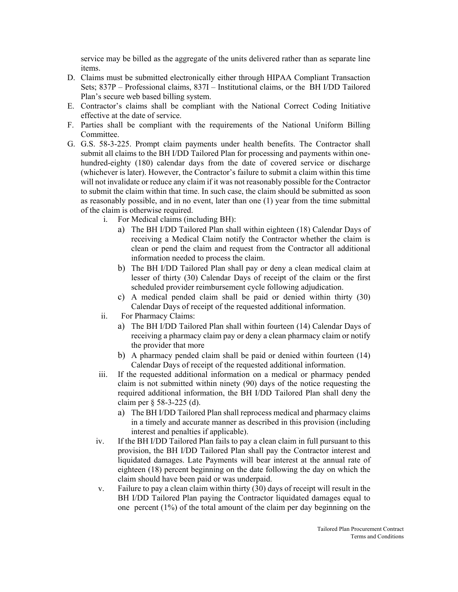service may be billed as the aggregate of the units delivered rather than as separate line items.

- D. Claims must be submitted electronically either through HIPAA Compliant Transaction Sets; 837P – Professional claims, 837I – Institutional claims, or the BH I/DD Tailored Plan's secure web based billing system.
- E. Contractor's claims shall be compliant with the National Correct Coding Initiative effective at the date of service.
- F. Parties shall be compliant with the requirements of the National Uniform Billing Committee.
- G. G.S. 58-3-225. Prompt claim payments under health benefits. The Contractor shall submit all claims to the BH I/DD Tailored Plan for processing and payments within onehundred-eighty (180) calendar days from the date of covered service or discharge (whichever is later). However, the Contractor's failure to submit a claim within this time will not invalidate or reduce any claim if it was not reasonably possible for the Contractor to submit the claim within that time. In such case, the claim should be submitted as soon as reasonably possible, and in no event, later than one (1) year from the time submittal of the claim is otherwise required.
	- i. For Medical claims (including BH):
		- a) The BH I/DD Tailored Plan shall within eighteen (18) Calendar Days of receiving a Medical Claim notify the Contractor whether the claim is clean or pend the claim and request from the Contractor all additional information needed to process the claim.
		- b) The BH I/DD Tailored Plan shall pay or deny a clean medical claim at lesser of thirty (30) Calendar Days of receipt of the claim or the first scheduled provider reimbursement cycle following adjudication.
		- c) A medical pended claim shall be paid or denied within thirty (30) Calendar Days of receipt of the requested additional information.
	- ii. For Pharmacy Claims:
		- a) The BH I/DD Tailored Plan shall within fourteen (14) Calendar Days of receiving a pharmacy claim pay or deny a clean pharmacy claim or notify the provider that more
		- b) A pharmacy pended claim shall be paid or denied within fourteen (14) Calendar Days of receipt of the requested additional information.
	- iii. If the requested additional information on a medical or pharmacy pended claim is not submitted within ninety (90) days of the notice requesting the required additional information, the BH I/DD Tailored Plan shall deny the claim per § 58-3-225 (d).
		- a) The BH I/DD Tailored Plan shall reprocess medical and pharmacy claims in a timely and accurate manner as described in this provision (including interest and penalties if applicable).
	- iv. If the BH I/DD Tailored Plan fails to pay a clean claim in full pursuant to this provision, the BH I/DD Tailored Plan shall pay the Contractor interest and liquidated damages. Late Payments will bear interest at the annual rate of eighteen (18) percent beginning on the date following the day on which the claim should have been paid or was underpaid.
	- v. Failure to pay a clean claim within thirty (30) days of receipt will result in the BH I/DD Tailored Plan paying the Contractor liquidated damages equal to one percent (1%) of the total amount of the claim per day beginning on the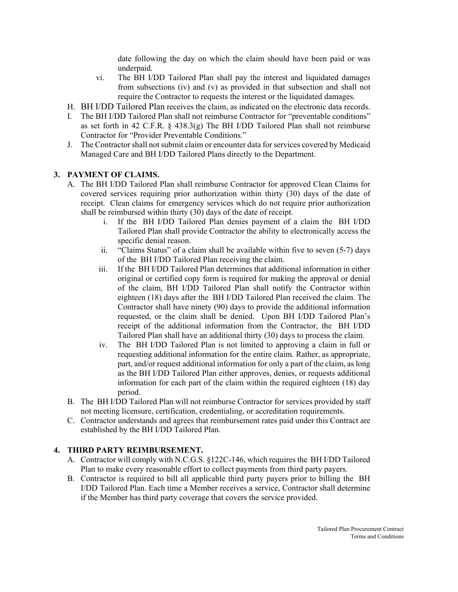date following the day on which the claim should have been paid or was underpaid.

- vi. The BH I/DD Tailored Plan shall pay the interest and liquidated damages from subsections (iv) and (v) as provided in that subsection and shall not require the Contractor to requests the interest or the liquidated damages.
- H. BH I/DD Tailored Plan receives the claim, as indicated on the electronic data records.
- I. The BH I/DD Tailored Plan shall not reimburse Contractor for "preventable conditions" as set forth in 42 C.F.R. § 438.3(g) The BH I/DD Tailored Plan shall not reimburse Contractor for "Provider Preventable Conditions."
- J. The Contractor shall not submit claim or encounter data for services covered by Medicaid Managed Care and BH I/DD Tailored Plans directly to the Department.

# **3. PAYMENT OF CLAIMS.**

- A. The BH I/DD Tailored Plan shall reimburse Contractor for approved Clean Claims for covered services requiring prior authorization within thirty (30) days of the date of receipt. Clean claims for emergency services which do not require prior authorization shall be reimbursed within thirty (30) days of the date of receipt.
	- i. If the BH I/DD Tailored Plan denies payment of a claim the BH I/DD Tailored Plan shall provide Contractor the ability to electronically access the specific denial reason.
	- ii. "Claims Status" of a claim shall be available within five to seven (5-7) days of the BH I/DD Tailored Plan receiving the claim.
	- iii. If the BH I/DD Tailored Plan determines that additional information in either original or certified copy form is required for making the approval or denial of the claim, BH I/DD Tailored Plan shall notify the Contractor within eighteen (18) days after the BH I/DD Tailored Plan received the claim. The Contractor shall have ninety (90) days to provide the additional information requested, or the claim shall be denied. Upon BH I/DD Tailored Plan's receipt of the additional information from the Contractor, the BH I/DD Tailored Plan shall have an additional thirty (30) days to process the claim.
	- iv. The BH I/DD Tailored Plan is not limited to approving a claim in full or requesting additional information for the entire claim. Rather, as appropriate, part, and/or request additional information for only a part of the claim, as long as the BH I/DD Tailored Plan either approves, denies, or requests additional information for each part of the claim within the required eighteen (18) day period.
- B. The BH I/DD Tailored Plan will not reimburse Contractor for services provided by staff not meeting licensure, certification, credentialing, or accreditation requirements.
- C. Contractor understands and agrees that reimbursement rates paid under this Contract are established by the BH I/DD Tailored Plan.

# **4. THIRD PARTY REIMBURSEMENT.**

- A. Contractor will comply with N.C.G.S. §122C-146, which requires the BH I/DD Tailored Plan to make every reasonable effort to collect payments from third party payers.
- B. Contractor is required to bill all applicable third party payers prior to billing the BH I/DD Tailored Plan. Each time a Member receives a service, Contractor shall determine if the Member has third party coverage that covers the service provided.